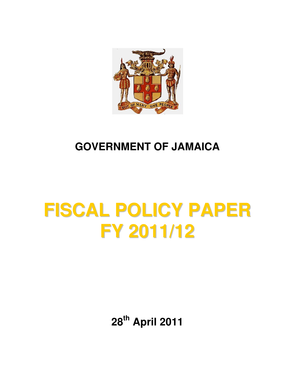

# **GOVERNMENT OF JAMAICA**

# **FISCAL POLICY PAPER FY 2011/12**

**28th April 2011**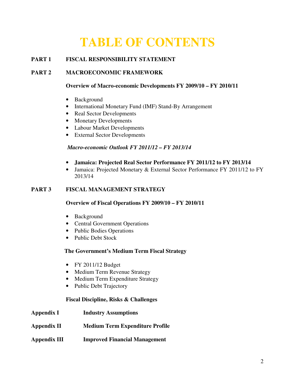# **TABLE OF CONTENTS**

#### **PART 1 FISCAL RESPONSIBILITY STATEMENT**

#### **PART 2 MACROECONOMIC FRAMEWORK**

#### **Overview of Macro-economic Developments FY 2009/10 – FY 2010/11**

- Background
- International Monetary Fund (IMF) Stand-By Arrangement
- Real Sector Developments
- Monetary Developments
- Labour Market Developments
- External Sector Developments

#### *Macro-economic Outlook FY 2011/12 – FY 2013/14*

- **Jamaica: Projected Real Sector Performance FY 2011/12 to FY 2013/14**
- Jamaica: Projected Monetary & External Sector Performance FY 2011/12 to FY 2013/14

#### **PART 3 FISCAL MANAGEMENT STRATEGY**

#### **Overview of Fiscal Operations FY 2009/10 – FY 2010/11**

- Background
- Central Government Operations
- Public Bodies Operations
- Public Debt Stock

#### **The Government's Medium Term Fiscal Strategy**

- FY 2011/12 Budget
- Medium Term Revenue Strategy
- Medium Term Expenditure Strategy
- Public Debt Trajectory

#### **Fiscal Discipline, Risks & Challenges**

- **Appendix I Industry Assumptions**
- **Appendix II Medium Term Expenditure Profile**

#### **Appendix III Improved Financial Management**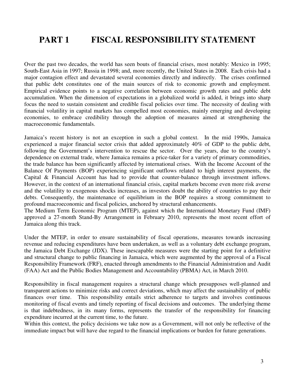# **PART 1 FISCAL RESPONSIBILITY STATEMENT**

Over the past two decades, the world has seen bouts of financial crises, most notably: Mexico in 1995; South-East Asia in 1997; Russia in 1998; and, more recently, the United States in 2008. Each crisis had a major contagion effect and devastated several economies directly and indirectly. The crises confirmed that public debt constitutes one of the main sources of risk to economic growth and employment. Empirical evidence points to a negative correlation between economic growth rates and public debt accumulation. When the dimension of expectations in a globalized world is added, it brings into sharp focus the need to sustain consistent and credible fiscal policies over time. The necessity of dealing with financial volatility in capital markets has compelled most economies, mainly emerging and developing economies, to embrace credibility through the adoption of measures aimed at strengthening the macroeconomic fundamentals.

Jamaica's recent history is not an exception in such a global context. In the mid 1990s, Jamaica experienced a major financial sector crisis that added approximately 40% of GDP to the public debt, following the Government's intervention to rescue the sector. Over the years, due to the country's dependence on external trade, where Jamaica remains a price-taker for a variety of primary commodities, the trade balance has been significantly affected by international crises. With the Income Account of the Balance Of Payments (BOP) experiencing significant outflows related to high interest payments, the Capital & Financial Account has had to provide that counter-balance through investment inflows. However, in the context of an international financial crisis, capital markets become even more risk averse and the volatility to exogenous shocks increases, as investors doubt the ability of countries to pay their debts. Consequently, the maintenance of equilibrium in the BOP requires a strong commitment to profound macroeconomic and fiscal policies, anchored by structural enhancements.

The Medium Term Economic Program (MTEP), against which the International Monetary Fund (IMF) approved a 27-month Stand-By Arrangement in February 2010, represents the most recent effort of Jamaica along this track.

Under the MTEP, in order to ensure sustainability of fiscal operations, measures towards increasing revenue and reducing expenditures have been undertaken, as well as a voluntary debt exchange program, the Jamaica Debt Exchange (JDX). These inescapable measures were the starting point for a definitive and structural change to public financing in Jamaica, which were augmented by the approval of a Fiscal Responsibility Framework (FRF), enacted through amendments to the Financial Administration and Audit (FAA) Act and the Public Bodies Management and Accountability (PBMA) Act, in March 2010.

Responsibility in fiscal management requires a structural change which presupposes well-planned and transparent actions to minimize risks and correct deviations, which may affect the sustainability of public finances over time. This responsibility entails strict adherence to targets and involves continuous monitoring of fiscal events and timely reporting of fiscal decisions and outcomes. The underlying theme is that indebtedness, in its many forms, represents the transfer of the responsibility for financing expenditure incurred at the current time, to the future.

Within this context, the policy decisions we take now as a Government, will not only be reflective of the immediate impact but will have due regard to the financial implications or burden for future generations.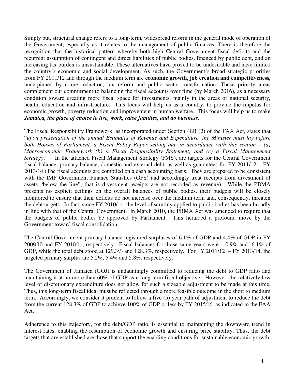Simply put, structural change refers to a long-term, widespread reform in the general mode of operation of the Government, especially as it relates to the management of public finances. There is therefore the recognition that the historical pattern whereby both high Central Government fiscal deficits and the recurrent assumption of contingent and direct liabilities of public bodies, financed by public debt, and an increasing tax burden is unsustainable. These alternatives have proved to be undesirable and have limited the country´s economic and social development. As such, the Government's broad strategic priorities from FY 2011/12 and through the medium term are **economic growth, job creation and competitiveness,** underpinned by crime reduction, tax reform and public sector transformation. These priority areas complement our commitment to balancing the fiscal accounts over time (by March 2016), as a necessary condition toward creating more fiscal space for investments, mainly in the areas of national security, health, education and infrastructure. This focus will help us as a country, to provide the impetus for economic growth, poverty reduction and improvement in human welfare. This focus will help us to make *Jamaica, the place of choice to live, work, raise families, and do business.*

The Fiscal Responsibility Framework, as incorporated under Section 48B (2) of the FAA Act, states that "*upon presentation of the annual Estimates of Revenue and Expenditure, the Minister must lay before both Houses of Parliament, a Fiscal Policy Paper setting out, in accordance with this section – (a) Macroeconomic Framework (b) a Fiscal Responsibility Statement; and (c) a Fiscal Management Strategy*." In the attached Fiscal Management Strategy (FMS), are targets for the Central Government fiscal balance, primary balance, domestic and external debt, as well as guarantees for FY 2011/12 – FY 2013/14 (The fiscal accounts are compiled on a cash accounting basis. They are prepared to be consistent with the IMF Government Finance Statistics (GFS) and accordingly treat receipts from divestment of assets "below the line", that is divestment receipts are not recorded as revenue). While the PBMA presents no explicit ceilings on the overall balances of public bodies, their budgets will be closely monitored to ensure that their deficits do not increase over the medium term and, consequently, threaten the debt targets. In fact, since FY 2010/11, the level of scrutiny applied to public bodies has been broadly in line with that of the Central Government. In March 2010, the PBMA Act was amended to require that the budgets of public bodies be approved by Parliament. This heralded a profound move by the Government toward fiscal consolidation.

The Central Government primary balance registered surpluses of 6.1% of GDP and 4.4% of GDP in FY 2009⁄10 and FY 2010⁄11, respectively. Fiscal balances for those same years were -10.9% and -6.1% of GDP, while the total debt stood at 129.3% and 128.3%, respectively. For FY 2011/12 – FY 2013/14, the targeted primary surplus are 5.2%, 5.4% and 5.8%, respectively.

The Government of Jamaica (GOJ) is undauntingly committed to reducing the debt to GDP ratio and maintaining it at no more than 60% of GDP as a long-term fiscal objective. However, the relatively low level of discretionary expenditure does not allow for such a sizeable adjustment to be made at this time. Thus, this long-term fiscal ideal must be reflected through a more feasible outcome in the short to medium term. Accordingly, we consider it prudent to follow a five (5) year path of adjustment to reduce the debt from the current 128.3% of GDP to achieve 100% of GDP or less by FY 2015⁄16, as indicated in the FAA Act.

Adherence to this trajectory, for the debt/GDP ratio, is essential to maintaining the downward trend in interest rates, enabling the resumption of economic growth and ensuring price stability. Thus, the debt targets that are established are those that support the enabling conditions for sustainable economic growth,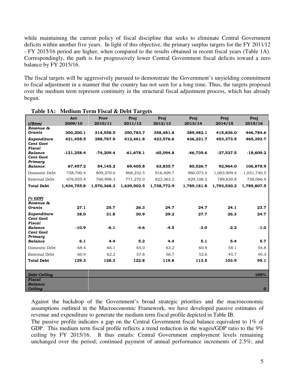while maintaining the current policy of fiscal discipline that seeks to eliminate Central Government deficits within another five years. In light of this objective, the primary surplus targets for the FY 2011⁄12 - FY 2015⁄16 period are higher, when compared to the results obtained in recent fiscal years (Table 1A). Correspondingly, the path is for progressively lower Central Government fiscal deficits toward a zero balance by FY 2015/16.

The fiscal targets will be aggressively pursued to demonstrate the Government's unyielding commitment to fiscal adjustment in a manner that the country has not seen for a long time. Thus, the targets proposed over the medium term represent continuity in the structural fiscal adjustment process, which has already begun.

|                                               | Act          | Prov        | Proj        | Proj        | Proj        | Proj        | Proj        |
|-----------------------------------------------|--------------|-------------|-------------|-------------|-------------|-------------|-------------|
| (J\$mm)                                       | 2009/10      | 2010/11     | 2011/12     | 2012/13     | 2013/14     | 2014/15     | 2015/16     |
| Revenue &<br>Grants                           | 300,200.1    | 314,558.5   | 350,783.7   | 358,481.8   | 389,482.1   | 415,836.0   | 446,784.6   |
| Expenditure<br><b>Cent Govt</b><br>Fiscal     | 421,458.5    | 388,767.9   | 412,461.8   | 423,576.6   | 436,221.7   | 453,373.5   | 465,393.7   |
| <b>Balance</b><br><b>Cent Govt</b><br>Primary | $-121,258.4$ | $-74,209.4$ | $-61,678.1$ | $-65,094.8$ | $-46,739.6$ | $-37,537.5$ | $-18,609.2$ |
| <b>Balance</b>                                | 67,457.2     | 54,145.2    | 69,405.8    | 63,835.7    | 80,526.7    | 92,964.0    | 106,878.9   |
| Domestic Debt                                 | 758,700.4    | 809,370.0   | 868,232.5   | 916,409.7   | 960,073.4   | 1,003,909.4 | 1,031,740.5 |
| <b>External Debt</b>                          | 676,055.4    | 760,998.3   | 771,270.0   | 822,363.2   | 829,108.3   | 789,620.8   | 758,066.9   |
| <b>Total Debt</b>                             | 1,434,755.8  | 1,570,368.3 | 1,639,502.5 | 1,738,772.9 | 1,789,181.8 | 1,793,530.2 | 1,789,807.5 |
| (% GDP)<br>Revenue &<br>Grants                | 27.1         | 25.7        | 26.3        | 24.7        | 24.7        | 24.1        | 23.7        |
| Expenditure<br><b>Cent Govt</b><br>Fiscal     | 38.0         | 31.8        | 30.9        | 29.2        | 27.7        | 26.3        | 24.7        |
| <b>Balance</b><br><b>Cent Govt</b><br>Primary | $-10.9$      | $-6.1$      | $-4.6$      | $-4.5$      | $-3.0$      | $-2.2$      | $-1.0$      |
| <b>Balance</b>                                | 6.1          | 4.4         | 5.2         | 4.4         | 5.1         | 5.4         | 5.7         |
| Domestic Debt                                 | 68.4         | 66.1        | 65.0        | 63.2        | 60.9        | 58.1        | 54.8        |
| <b>External Debt</b>                          | 60.9         | 62.2        | 57.8        | 56.7        | 52.6        | 45.7        | 40.3        |
| <b>Total Debt</b>                             | 129.3        | 128.3       | 122.8       | 119.8       | 113.5       | 103.9       | 95.1        |
| <b>Debt Ceiling</b>                           |              |             |             |             |             |             | 100%        |
| Fiscal                                        |              |             |             |             |             |             |             |
| <b>Balance</b>                                |              |             |             |             |             |             |             |
| <b>Ceiling</b>                                |              |             |             |             |             |             | $\bf{O}$    |

#### **Table 1A: Medium Term Fiscal & Debt Targets**

Against the backdrop of the Government's broad strategic priorities and the macroeconomic assumptions outlined in the Macroeconomic Framework, we have developed passive estimates of revenue and expenditure to generate the medium term fiscal profile depicted in Table IB.

The passive profile indicates a gap on the Central Government fiscal balance equivalent to 1% of GDP. This medium term fiscal profile reflects a trend reduction in the wages/GDP ratio to the 9% ceiling by FY 2015/16. It thus entails: Central Government employment levels remaining unchanged over the period; continued payment of annual performance increments of 2.5%; and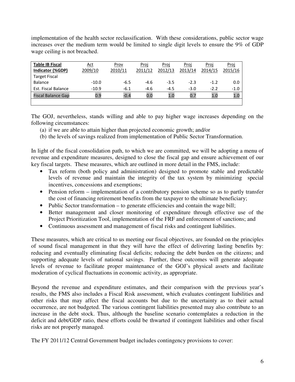implementation of the health sector reclassification. With these considerations, public sector wage increases over the medium term would be limited to single digit levels to ensure the 9% of GDP wage ceiling is not breached.

| <b>Table IB Fiscal</b>    | Act     | <u>Prov</u> | <u>Proj</u> | Proj    | Proj    | Proi    | Proj    |
|---------------------------|---------|-------------|-------------|---------|---------|---------|---------|
| Indicator (%GDP)          | 2009/10 | 2010/11     | 2011/12     | 2012/13 | 2013/14 | 2014/15 | 2015/16 |
| <b>Target Fiscal</b>      |         |             |             |         |         |         |         |
| <b>Balance</b>            | $-10.0$ | $-6.5$      | $-4.6$      | $-3.5$  | $-2.3$  | $-1.2$  | 0.0     |
| Est. Fiscal Balance       | $-10.9$ | $-6.1$      | $-4.6$      | $-4.5$  | $-3.0$  | $-2.2$  | $-1.0$  |
| <b>Fiscal Balance Gap</b> | 0.9     | $-0.4$      | 0.0         | 1.0     | 0.7     | 1.0     | 1.0     |
|                           |         |             |             |         |         |         |         |

The GOJ, nevertheless, stands willing and able to pay higher wage increases depending on the following circumstances:

- (a) if we are able to attain higher than projected economic growth; and/or
- (b) the levels of savings realized from implementation of Public Sector Transformation.

In light of the fiscal consolidation path, to which we are committed, we will be adopting a menu of revenue and expenditure measures, designed to close the fiscal gap and ensure achievement of our key fiscal targets. These measures, which are outlined in more detail in the FMS, include:

- Tax reform (both policy and administration) designed to promote stable and predictable levels of revenue and maintain the integrity of the tax system by minimizing special incentives, concessions and exemptions;
- Pension reform implementation of a contributory pension scheme so as to partly transfer the cost of financing retirement benefits from the taxpayer to the ultimate beneficiary;
- Public Sector transformation to generate efficiencies and contain the wage bill;
- Better management and closer monitoring of expenditure through effective use of the Project Prioritization Tool, implementation of the FRF and enforcement of sanctions; and
- Continuous assessment and management of fiscal risks and contingent liabilities.

These measures, which are critical to us meeting our fiscal objectives, are founded on the principles of sound fiscal management in that they will have the effect of delivering lasting benefits by: reducing and eventually eliminating fiscal deficits; reducing the debt burden on the citizens; and supporting adequate levels of national savings. Further, these outcomes will generate adequate levels of revenue to facilitate proper maintenance of the GOJ's physical assets and facilitate moderation of cyclical fluctuations in economic activity, as appropriate.

Beyond the revenue and expenditure estimates, and their comparison with the previous year's results, the FMS also includes a Fiscal Risk assessment, which evaluates contingent liabilities and other risks that may affect the fiscal accounts but due to the uncertainty as to their actual occurrence, are not budgeted. The various contingent liabilities presented may also contribute to an increase in the debt stock. Thus, although the baseline scenario contemplates a reduction in the deficit and debt/GDP ratio, these efforts could be thwarted if contingent liabilities and other fiscal risks are not properly managed.

The FY 2011/12 Central Government budget includes contingency provisions to cover: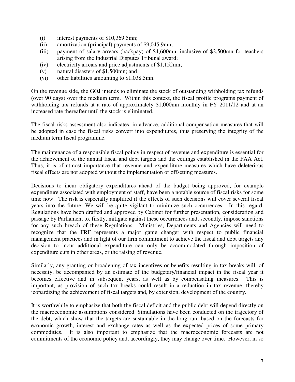- (i) interest payments of \$10,369.5mn;
- (ii) amortization (principal) payments of \$9,045.9mn;
- (iii) payment of salary arrears (backpay) of \$4,600mn, inclusive of \$2,500mn for teachers arising from the Industrial Disputes Tribunal award;
- (iv) electricity arrears and price adjustments of \$1,152mn;
- (v) natural disasters of \$1,500mn; and
- (vi) other liabilities amounting to \$1,038.5mn.

On the revenue side, the GOJ intends to eliminate the stock of outstanding withholding tax refunds (over 90 days) over the medium term. Within this context, the fiscal profile programs payment of withholding tax refunds at a rate of approximately \$1,000mn monthly in FY 2011/12 and at an increased rate thereafter until the stock is eliminated.

The fiscal risks assessment also indicates, in advance, additional compensation measures that will be adopted in case the fiscal risks convert into expenditures, thus preserving the integrity of the medium term fiscal programme.

The maintenance of a responsible fiscal policy in respect of revenue and expenditure is essential for the achievement of the annual fiscal and debt targets and the ceilings established in the FAA Act. Thus, it is of utmost importance that revenue and expenditure measures which have deleterious fiscal effects are not adopted without the implementation of offsetting measures.

Decisions to incur obligatory expenditures ahead of the budget being approved, for example expenditure associated with employment of staff, have been a notable source of fiscal risks for some time now. The risk is especially amplified if the effects of such decisions will cover several fiscal years into the future. We will be quite vigilant to minimize such occurrences. In this regard, Regulations have been drafted and approved by Cabinet for further presentation, consideration and passage by Parliament to, firstly, mitigate against these occurrences and, secondly, impose sanctions for any such breach of these Regulations. Ministries, Departments and Agencies will need to recognize that the FRF represents a major game changer with respect to public financial management practices and in light of our firm commitment to achieve the fiscal and debt targets any decision to incur additional expenditure can only be accommodated through imposition of expenditure cuts in other areas, or the raising of revenue.

Similarly, any granting or broadening of tax incentives or benefits resulting in tax breaks will, of necessity, be accompanied by an estimate of the budgetary/financial impact in the fiscal year it becomes effective and in subsequent years, as well as by compensating measures. This is important, as provision of such tax breaks could result in a reduction in tax revenue, thereby jeopardizing the achievement of fiscal targets and, by extension, development of the country.

It is worthwhile to emphasize that both the fiscal deficit and the public debt will depend directly on the macroeconomic assumptions considered. Simulations have been conducted on the trajectory of the debt, which show that the targets are sustainable in the long run, based on the forecasts for economic growth, interest and exchange rates as well as the expected prices of some primary commodities. It is also important to emphasize that the macroeconomic forecasts are not commitments of the economic policy and, accordingly, they may change over time. However, in so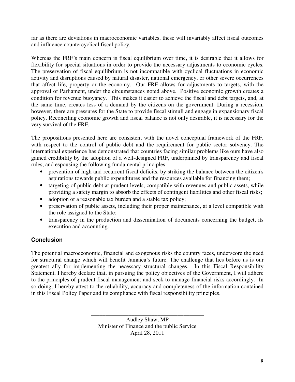far as there are deviations in macroeconomic variables, these will invariably affect fiscal outcomes and influence countercyclical fiscal policy.

Whereas the FRF´s main concern is fiscal equilibrium over time, it is desirable that it allows for flexibility for special situations in order to provide the necessary adjustments to economic cycles. The preservation of fiscal equilibrium is not incompatible with cyclical fluctuations in economic activity and disruptions caused by natural disaster, national emergency, or other severe occurrences that affect life, property or the economy. Our FRF allows for adjustments to targets, with the approval of Parliament, under the circumstances noted above. Positive economic growth creates a condition for revenue buoyancy. This makes it easier to achieve the fiscal and debt targets, and, at the same time, creates less of a demand by the citizens on the government. During a recession, however, there are pressures for the State to provide fiscal stimuli and engage in expansionary fiscal policy. Reconciling economic growth and fiscal balance is not only desirable, it is necessary for the very survival of the FRF.

The propositions presented here are consistent with the novel conceptual framework of the FRF, with respect to the control of public debt and the requirement for public sector solvency. The international experience has demonstrated that countries facing similar problems like ours have also gained credibility by the adoption of a well-designed FRF, underpinned by transparency and fiscal rules, and espousing the following fundamental principles:

- prevention of high and recurrent fiscal deficits, by striking the balance between the citizen's aspirations towards public expenditures and the resources available for financing them;
- targeting of public debt at prudent levels, compatible with revenues and public assets, while providing a safety margin to absorb the effects of contingent liabilities and other fiscal risks;
- adoption of a reasonable tax burden and a stable tax policy;
- preservation of public assets, including their proper maintenance, at a level compatible with the role assigned to the State;
- transparency in the production and dissemination of documents concerning the budget, its execution and accounting.

#### **Conclusion**

The potential macroeconomic, financial and exogenous risks the country faces, underscore the need for structural change which will benefit Jamaica's future. The challenge that lies before us is our greatest ally for implementing the necessary structural changes. In this Fiscal Responsibility Statement, I hereby declare that, in pursuing the policy objectives of the Government, I will adhere to the principles of prudent fiscal management and seek to manage financial risks accordingly. In so doing, I hereby attest to the reliability, accuracy and completeness of the information contained in this Fiscal Policy Paper and its compliance with fiscal responsibility principles.

> Audley Shaw, MP Minister of Finance and the public Service April 28, 2011

\_\_\_\_\_\_\_\_\_\_\_\_\_\_\_\_\_\_\_\_\_\_\_\_\_\_\_\_\_\_\_\_\_\_\_\_\_\_\_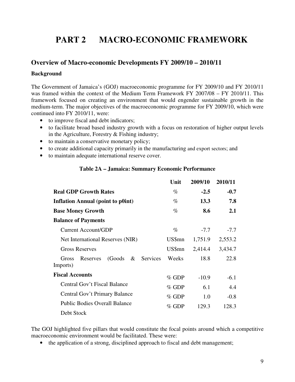# **PART 2 MACRO-ECONOMIC FRAMEWORK**

#### **Overview of Macro-economic Developments FY 2009/10 – 2010/11**

#### **Background**

The Government of Jamaica's (GOJ) macroeconomic programme for FY 2009/10 and FY 2010/11 was framed within the context of the Medium Term Framework FY 2007/08 – FY 2010/11. This framework focused on creating an environment that would engender sustainable growth in the medium-term. The major objectives of the macroeconomic programme for FY 2009/10, which were continued into FY 2010/11, were:

- to improve fiscal and debt indicators;
- to facilitate broad based industry growth with a focus on restoration of higher output levels in the Agriculture, Forestry & Fishing industry;
- to maintain a conservative monetary policy;
- to create additional capacity primarily in the manufacturing and export sectors; and
- to maintain adequate international reserve cover.

#### **Table 2A – Jamaica: Summary Economic Performance**

|                                                              | Unit    | 2009/10 | 2010/11    |
|--------------------------------------------------------------|---------|---------|------------|
| <b>Real GDP Growth Rates</b>                                 | $\%$    | $-2.5$  | $-0.7$     |
| <b>Inflation Annual (point to p0int)</b>                     | $\%$    | 13.3    | 7.8        |
| <b>Base Money Growth</b>                                     | $\%$    | 8.6     | <b>2.1</b> |
| <b>Balance of Payments</b>                                   |         |         |            |
| Current Account/GDP                                          | $\%$    | $-7.7$  | $-7.7$     |
| Net International Reserves (NIR)                             | US\$mn  | 1,751.9 | 2,553.2    |
| <b>Gross Reserves</b>                                        | US\$mn  | 2,414.4 | 3,434.7    |
| $\&$<br>Services<br>(Goods)<br>Gross<br>Reserves<br>Imports) | Weeks   | 18.8    | 22.8       |
| <b>Fiscal Accounts</b>                                       | $%$ GDP | $-10.9$ | $-6.1$     |
| Central Gov't Fiscal Balance                                 | $%$ GDP | 6.1     | 4.4        |
| Central Gov't Primary Balance                                | $%$ GDP | 1.0     | $-0.8$     |
| <b>Public Bodies Overall Balance</b>                         | $%$ GDP | 129.3   | 128.3      |
| Debt Stock                                                   |         |         |            |

The GOJ highlighted five pillars that would constitute the focal points around which a competitive macroeconomic environment would be facilitated. These were:

• the application of a strong, disciplined approach to fiscal and debt management;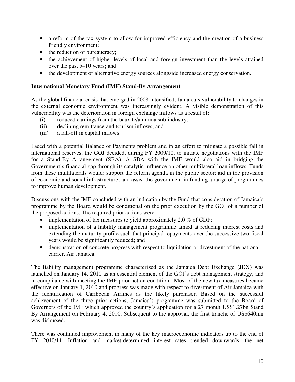- a reform of the tax system to allow for improved efficiency and the creation of a business friendly environment;
- the reduction of bureaucracy;
- the achievement of higher levels of local and foreign investment than the levels attained over the past 5–10 years; and
- the development of alternative energy sources alongside increased energy conservation.

#### **International Monetary Fund (IMF) Stand-By Arrangement**

As the global financial crisis that emerged in 2008 intensified, Jamaica's vulnerability to changes in the external economic environment was increasingly evident. A visible demonstration of this vulnerability was the deterioration in foreign exchange inflows as a result of:

- (i) reduced earnings from the bauxite/alumina sub-industry;
- (ii) declining remittance and tourism inflows; and
- (iii) a fall-off in capital inflows.

Faced with a potential Balance of Payments problem and in an effort to mitigate a possible fall in international reserves, the GOJ decided, during FY 2009/10, to initiate negotiations with the IMF for a Stand-By Arrangement (SBA). A SBA with the IMF would also aid in bridging the Government's financial gap through its catalytic influence on other multilateral loan inflows. Funds from these multilaterals would: support the reform agenda in the public sector; aid in the provision of economic and social infrastructure; and assist the government in funding a range of programmes to improve human development.

Discussions with the IMF concluded with an indication by the Fund that consideration of Jamaica's programme by the Board would be conditional on the prior execution by the GOJ of a number of the proposed actions. The required prior actions were:

- implementation of tax measures to yield approximately 2.0 % of GDP;
- implementation of a liability management programme aimed at reducing interest costs and extending the maturity profile such that principal repayments over the successive two fiscal years would be significantly reduced; and
- demonstration of concrete progress with respect to liquidation or divestment of the national carrier, Air Jamaica.

The liability management programme characterized as the Jamaica Debt Exchange (JDX) was launched on January 14, 2010 as an essential element of the GOJ's debt management strategy, and in compliance with meeting the IMF prior action condition. Most of the new tax measures became effective on January 1, 2010 and progress was made with respect to divestment of Air Jamaica with the identification of Caribbean Airlines as the likely purchaser. Based on the successful achievement of the three prior actions, Jamaica's programme was submitted to the Board of Governors of the IMF which approved the country's application for a 27 month US\$1.27bn Stand By Arrangement on February 4, 2010. Subsequent to the approval, the first tranche of US\$640mn was disbursed.

There was continued improvement in many of the key macroeconomic indicators up to the end of FY 2010/11. Inflation and market-determined interest rates trended downwards, the net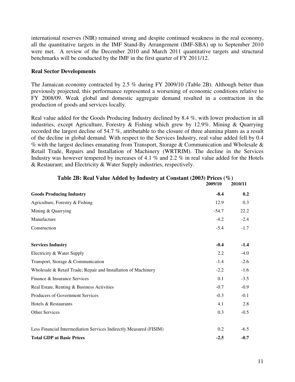international reserves (NIR) remained strong and despite continued weakness in the real economy, all the quantitative targets in the IMF Stand-By Arrangement (IMF-SBA) up to September 2010 were met. A review of the December 2010 and March 2011 quantitative targets and structural benchmarks will be conducted by the IMF in the first quarter of FY 2011/12.

#### **Real Sector Developments**

The Jamaican economy contracted by 2.5 % during FY 2009/10 (Table 2B). Although better than previously projected, this performance represented a worsening of economic conditions relative to FY 2008/09. Weak global and domestic aggregate demand resulted in a contraction in the production of goods and services locally.

Real value added for the Goods Producing Industry declined by 8.4 %, with lower production in all industries, except Agriculture, Forestry & Fishing which grew by 12.9%. Mining & Quarrying recorded the largest decline of 54.7 %, attributable to the closure of three alumina plants as a result of the decline in global demand. With respect to the Services Industry, real value added fell by 0.4 % with the largest declines emanating from Transport, Storage & Communication and Wholesale  $\&$ Retail Trade, Repairs and Installation of Machinery (WRTRIM). The decline in the Services Industry was however tempered by increases of 4.1 % and 2.2 % in real value added for the Hotels & Restaurant; and Electricity & Water Supply industries, respectively.

|                                                                    | 2009/10 | 2010/11 |
|--------------------------------------------------------------------|---------|---------|
| <b>Goods Producing Industry</b>                                    | $-8.4$  | 0.2     |
| Agriculture, Forestry & Fishing                                    | 12.9    | 0.3     |
| Mining & Quarrying                                                 | $-54.7$ | 22.2    |
| Manufacture                                                        | $-4.2$  | $-2.4$  |
| Construction                                                       | $-5.4$  | $-1.7$  |
|                                                                    |         |         |
| <b>Services Industry</b>                                           | $-0.4$  | $-1.4$  |
| Electricity & Water Supply                                         | 2.2     | $-4.0$  |
| Transport, Storage & Communication                                 | $-1.4$  | $-2.6$  |
| Wholesale & Retail Trade; Repair and Installation of Machinery     | $-2.2$  | $-1.6$  |
| Finance & Insurance Services                                       | 0.1     | $-3.5$  |
| Real Estate, Renting & Business Activities                         | $-0.7$  | $-0.9$  |
| Producers of Government Services                                   | $-0.3$  | $-0.1$  |
| Hotels & Restaurants                                               | 4.1     | 2.8     |
| <b>Other Services</b>                                              | 0.3     | $-0.5$  |
|                                                                    |         |         |
| Less Financial Intermediation Services Indirectly Measured (FISIM) | 0.2     | $-6.5$  |
| <b>Total GDP at Basic Prices</b>                                   | $-2.5$  | $-0.7$  |

#### **Table 2B: Real Value Added by Industry at Constant (2003) Prices (%)**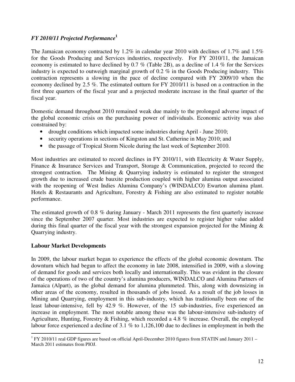#### *FY 2010/11 Projected Performance***<sup>1</sup>**

The Jamaican economy contracted by 1.2% in calendar year 2010 with declines of 1.7% and 1.5% for the Goods Producing and Services industries, respectively. For FY 2010/11, the Jamaican economy is estimated to have declined by 0.7 % (Table 2B), as a decline of 1.4 % for the Services industry is expected to outweigh marginal growth of 0.2 % in the Goods Producing industry. This contraction represents a slowing in the pace of decline compared with FY 2009/10 when the economy declined by 2.5 %. The estimated outturn for FY 2010/11 is based on a contraction in the first three quarters of the fiscal year and a projected moderate increase in the final quarter of the fiscal year.

Domestic demand throughout 2010 remained weak due mainly to the prolonged adverse impact of the global economic crisis on the purchasing power of individuals. Economic activity was also constrained by:

- drought conditions which impacted some industries during April June 2010;
- security operations in sections of Kingston and St. Catherine in May 2010; and
- the passage of Tropical Storm Nicole during the last week of September 2010.

Most industries are estimated to record declines in FY 2010/11, with Electricity & Water Supply, Finance & Insurance Services and Transport, Storage & Communication, projected to record the strongest contraction. The Mining & Quarrying industry is estimated to register the strongest growth due to increased crude bauxite production coupled with higher alumina output associated with the reopening of West Indies Alumina Company's (WINDALCO) Ewarton alumina plant. Hotels & Restaurants and Agriculture, Forestry & Fishing are also estimated to register notable performance.

The estimated growth of 0.8 % during January - March 2011 represents the first quarterly increase since the September 2007 quarter. Most industries are expected to register higher value added during this final quarter of the fiscal year with the strongest expansion projected for the Mining  $\&$ Quarrying industry.

#### **Labour Market Developments**

In 2009, the labour market began to experience the effects of the global economic downturn. The downturn which had begun to affect the economy in late 2008, intensified in 2009, with a slowing of demand for goods and services both locally and internationally. This was evident in the closure of the operations of two of the country's alumina producers, WINDALCO and Alumina Partners of Jamaica (Alpart), as the global demand for alumina plummeted. This, along with downsizing in other areas of the economy, resulted in thousands of jobs lossed. As a result of the job losses in Mining and Quarrying, employment in this sub-industry, which has traditionally been one of the least labour-intensive, fell by 42.9 %. However, of the 15 sub-industries, five experienced an increase in employment. The most notable among these was the labour-intensive sub-industry of Agriculture, Hunting, Forestry & Fishing, which recorded a 4.8  $\%$  increase. Overall, the employed labour force experienced a decline of 3.1 % to 1,126,100 due to declines in employment in both the

<sup>&</sup>lt;sup>1</sup> FY 2010/11 real GDP figures are based on official April-December 2010 figures from STATIN and January 2011 – March 2011 estimates from PIOJ.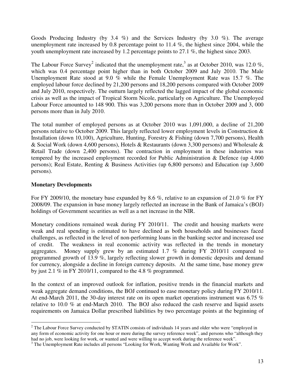Goods Producing Industry (by 3.4 %) and the Services Industry (by 3.0 %). The average unemployment rate increased by 0.8 percentage point to  $11.4\%$ , the highest since 2004, while the youth unemployment rate increased by 1.2 percentage points to 27.1 %, the highest since 2003.

The Labour Force Survey<sup>2</sup> indicated that the unemployment rate,<sup>3</sup> as at October 2010, was 12.0 %, which was 0.4 percentage point higher than in both October 2009 and July 2010. The Male Unemployment Rate stood at 9.0 % while the Female Unemployment Rate was 15.7 %. The employed labour force declined by 21,200 persons and 18,200 persons compared with October 2009 and July 2010, respectively. The outturn largely reflected the lagged impact of the global economic crisis as well as the impact of Tropical Storm Nicole, particularly on Agriculture. The Unemployed Labour Force amounted to 148 900. This was 3,200 persons more than in October 2009 and 3, 000 persons more than in July 2010.

The total number of employed persons as at October 2010 was 1,091,000, a decline of 21,200 persons relative to October 2009. This largely reflected lower employment levels in Construction & Installation (down 10,100), Agriculture, Hunting, Forestry & Fishing (down 7,700 persons), Health & Social Work (down 4,600 persons), Hotels & Restaurants (down 3,300 persons) and Wholesale & Retail Trade (down 2,400 persons). The contraction in employment in these industries was tempered by the increased employment recorded for Public Administration & Defence (up 4,000 persons); Real Estate, Renting & Business Activities (up 6,800 persons) and Education (up 3,600 persons).

#### **Monetary Developments**

 $\overline{a}$ 

For FY 2009/10, the monetary base expanded by 8.6 %, relative to an expansion of 21.0 % for FY 2008/09. The expansion in base money largely reflected an increase in the Bank of Jamaica's (BOJ) holdings of Government securities as well as a net increase in the NIR.

Monetary conditions remained weak during FY 2010/11. The credit and housing markets were weak and real spending is estimated to have declined as both households and businesses faced challenges, as reflected in the level of non-performing loans in the banking sector and increased use of credit. The weakness in real economic activity was reflected in the trends in monetary aggregates. Money supply grew by an estimated 1.7 % during FY 2010/11 compared to programmed growth of 13.9 %, largely reflecting slower growth in domestic deposits and demand for currency, alongside a decline in foreign currency deposits. At the same time, base money grew by just 2.1 % in FY 2010/11, compared to the 4.8 % programmed.

In the context of an improved outlook for inflation, positive trends in the financial markets and weak aggregate demand conditions, the BOJ continued to ease monetary policy during FY 2010/11. At end-March 2011, the 30-day interest rate on its open market operations instrument was 6.75  $%$ relative to 10.0 % at end-March 2010. The BOJ also reduced the cash reserve and liquid assets requirements on Jamaica Dollar prescribed liabilities by two percentage points at the beginning of

 $2^2$  The Labour Force Survey conducted by STATIN consists of individuals 14 years and older who were "employed in any form of economic activity for one hour or more during the survey reference week", and persons who "although they had no job, were looking for work, or wanted and were willing to accept work during the reference week".

<sup>&</sup>lt;sup>3</sup> The Unemployment Rate includes all persons "Looking for Work, Wanting Work and Available for Work".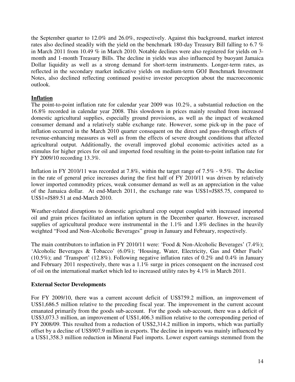the September quarter to 12.0% and 26.0%, respectively. Against this background, market interest rates also declined steadily with the yield on the benchmark 180-day Treasury Bill falling to 6.7 % in March 2011 from 10.49 % in March 2010. Notable declines were also registered for yields on 3 month and 1-month Treasury Bills. The decline in yields was also influenced by buoyant Jamaica Dollar liquidity as well as a strong demand for short-term instruments. Longer-term rates, as reflected in the secondary market indicative yields on medium-term GOJ Benchmark Investment Notes, also declined reflecting continued positive investor perception about the macroeconomic outlook.

#### **Inflation**

The point-to-point inflation rate for calendar year 2009 was 10.2%, a substantial reduction on the 16.8% recorded in calendar year 2008. This slowdown in prices mainly resulted from increased domestic agricultural supplies, especially ground provisions, as well as the impact of weakened consumer demand and a relatively stable exchange rate. However, some pick-up in the pace of inflation occurred in the March 2010 quarter consequent on the direct and pass-through effects of revenue-enhancing measures as well as from the effects of severe drought conditions that affected agricultural output. Additionally, the overall improved global economic activities acted as a stimulus for higher prices for oil and imported food resulting in the point-to-point inflation rate for FY 2009/10 recording 13.3%.

Inflation in FY 2010/11 was recorded at 7.8%, within the target range of 7.5% - 9.5%. The decline in the rate of general price increases during the first half of FY 2010/11 was driven by relatively lower imported commodity prices, weak consumer demand as well as an appreciation in the value of the Jamaica dollar. At end-March 2011, the exchange rate was US\$1=J\$85.75, compared to US\$1=J\$89.51 at end-March 2010.

Weather-related disruptions to domestic agricultural crop output coupled with increased imported oil and grain prices facilitated an inflation upturn in the December quarter. However, increased supplies of agricultural produce were instrumental in the 1.1% and 1.8% declines in the heavily weighted "Food and Non-Alcoholic Beverages" group in January and February, respectively.

The main contributors to inflation in FY 2010/11 were: 'Food & Non-Alcoholic Beverages' (7.4%); 'Alcoholic Beverages & Tobacco' (6.0%); 'Housing, Water, Electricity, Gas and Other Fuels' (10.5%); and 'Transport' (12.8%). Following negative inflation rates of 0.2% and 0.4% in January and February 2011 respectively, there was a 1.1% surge in prices consequent on the increased cost of oil on the international market which led to increased utility rates by 4.1% in March 2011.

#### **External Sector Developments**

For FY 2009/10, there was a current account deficit of US\$759.2 million, an improvement of US\$1,686.5 million relative to the preceding fiscal year. The improvement in the current account emanated primarily from the goods sub-account. For the goods sub-account, there was a deficit of US\$3,073.3 million, an improvement of US\$1,406.3 million relative to the corresponding period of FY 2008/09. This resulted from a reduction of US\$2,314.2 million in imports, which was partially offset by a decline of US\$907.9 million in exports. The decline in imports was mainly influenced by a US\$1,358.3 million reduction in Mineral Fuel imports. Lower export earnings stemmed from the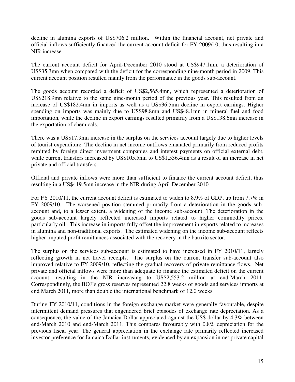decline in alumina exports of US\$706.2 million. Within the financial account, net private and official inflows sufficiently financed the current account deficit for FY 2009/10, thus resulting in a NIR increase.

The current account deficit for April-December 2010 stood at US\$947.1mn, a deterioration of US\$35.3mn when compared with the deficit for the corresponding nine-month period in 2009. This current account position resulted mainly from the performance in the goods sub-account.

The goods account recorded a deficit of US\$2,565.4mn, which represented a deterioration of US\$218.9mn relative to the same nine-month period of the previous year. This resulted from an increase of US\$182.4mn in imports as well as a US\$36.5mn decline in export earnings. Higher spending on imports was mainly due to US\$98.8mn and US\$48.1mn in mineral fuel and food importation, while the decline in export earnings resulted primarily from a US\$138.6mn increase in the exportation of chemicals.

There was a US\$17.9mn increase in the surplus on the services account largely due to higher levels of tourist expenditure. The decline in net income outflows emanated primarily from reduced profits remitted by foreign direct investment companies and interest payments on official external debt, while current transfers increased by US\$105.5mn to US\$1,536.4mn as a result of an increase in net private and official transfers.

Official and private inflows were more than sufficient to finance the current account deficit, thus resulting in a US\$419.5mn increase in the NIR during April-December 2010.

For FY 2010/11, the current account deficit is estimated to widen to 8.9% of GDP, up from 7.7% in FY 2009/10. The worsened position stemmed primarily from a deterioration in the goods subaccount and, to a lesser extent, a widening of the income sub-account. The deterioration in the goods sub-account largely reflected increased imports related to higher commodity prices, particularly oil. This increase in imports fully offset the improvement in exports related to increases in alumina and non-traditional exports. The estimated widening on the income sub-account reflects higher imputed profit remittances associated with the recovery in the bauxite sector.

The surplus on the services sub-account is estimated to have increased in FY 2010/11, largely reflecting growth in net travel receipts. The surplus on the current transfer sub-account also improved relative to FY 2009/10, reflecting the gradual recovery of private remittance flows. Net private and official inflows were more than adequate to finance the estimated deficit on the current account, resulting in the NIR increasing to US\$2,553.2 million at end-March 2011. Correspondingly, the BOJ's gross reserves represented 22.8 weeks of goods and services imports at end March 2011, more than double the international benchmark of 12.0 weeks.

During FY 2010/11, conditions in the foreign exchange market were generally favourable, despite intermittent demand pressures that engendered brief episodes of exchange rate depreciation. As a consequence, the value of the Jamaica Dollar appreciated against the US\$ dollar by 4.3% between end-March 2010 and end-March 2011. This compares favourably with 0.8% depreciation for the previous fiscal year. The general appreciation in the exchange rate primarily reflected increased investor preference for Jamaica Dollar instruments, evidenced by an expansion in net private capital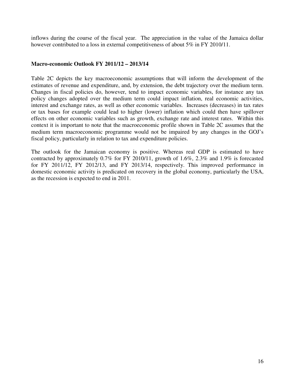inflows during the course of the fiscal year. The appreciation in the value of the Jamaica dollar however contributed to a loss in external competitiveness of about 5% in FY 2010/11.

#### **Macro-economic Outlook FY 2011/12 – 2013/14**

Table 2C depicts the key macroeconomic assumptions that will inform the development of the estimates of revenue and expenditure, and, by extension, the debt trajectory over the medium term. Changes in fiscal policies do, however, tend to impact economic variables, for instance any tax policy changes adopted over the medium term could impact inflation, real economic activities, interest and exchange rates, as well as other economic variables. Increases (decreases) in tax rates or tax bases for example could lead to higher (lower) inflation which could then have spillover effects on other economic variables such as growth, exchange rate and interest rates. Within this context it is important to note that the macroeconomic profile shown in Table 2C assumes that the medium term macroeconomic programme would not be impaired by any changes in the GOJ's fiscal policy, particularly in relation to tax and expenditure policies.

The outlook for the Jamaican economy is positive. Whereas real GDP is estimated to have contracted by approximately 0.7% for FY 2010/11, growth of 1.6%, 2.3% and 1.9% is forecasted for FY 2011/12, FY 2012/13, and FY 2013/14, respectively. This improved performance in domestic economic activity is predicated on recovery in the global economy, particularly the USA, as the recession is expected to end in 2011.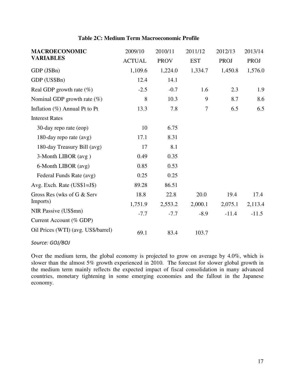#### **Table 2C: Medium Term Macroeconomic Profile**

| <b>MACROECONOMIC</b>                | 2009/10       | 2010/11     | 2011/12    | 2012/13     | 2013/14 |
|-------------------------------------|---------------|-------------|------------|-------------|---------|
| <b>VARIABLES</b>                    | <b>ACTUAL</b> | <b>PROV</b> | <b>EST</b> | <b>PROJ</b> | PROJ    |
| GDP (J\$Bn)                         | 1,109.6       | 1,224.0     | 1,334.7    | 1,450.8     | 1,576.0 |
| GDP (US\$Bn)                        | 12.4          | 14.1        |            |             |         |
| Real GDP growth rate $(\%)$         | $-2.5$        | $-0.7$      | 1.6        | 2.3         | 1.9     |
| Nominal GDP growth rate $(\%)$      | 8             | 10.3        | 9          | 8.7         | 8.6     |
| Inflation $(\%)$ Annual Pt to Pt    | 13.3          | 7.8         | $\tau$     | 6.5         | 6.5     |
| <b>Interest Rates</b>               |               |             |            |             |         |
| 30-day repo rate (eop)              | 10            | 6.75        |            |             |         |
| 180-day repo rate (avg)             | 17.1          | 8.31        |            |             |         |
| 180-day Treasury Bill (avg)         | 17            | 8.1         |            |             |         |
| 3-Month LIBOR (avg)                 | 0.49          | 0.35        |            |             |         |
| 6-Month LIBOR (avg)                 | 0.85          | 0.53        |            |             |         |
| Federal Funds Rate (avg)            | 0.25          | 0.25        |            |             |         |
| Avg. Exch. Rate $(US$1=J$)$         | 89.28         | 86.51       |            |             |         |
| Gross Res (wks of G & Serv          | 18.8          | 22.8        | 20.0       | 19.4        | 17.4    |
| Imports)                            | 1,751.9       | 2,553.2     | 2,000.1    | 2,075.1     | 2,113.4 |
| NIR Passive (US\$mn)                | $-7.7$        | $-7.7$      | $-8.9$     | $-11.4$     | $-11.5$ |
| Current Account (% GDP)             |               |             |            |             |         |
| Oil Prices (WTI) (avg. US\$/barrel) | 69.1          | 83.4        | 103.7      |             |         |

Source: GOJ/BOJ

Over the medium term, the global economy is projected to grow on average by 4.0%, which is slower than the almost 5% growth experienced in 2010. The forecast for slower global growth in the medium term mainly reflects the expected impact of fiscal consolidation in many advanced countries, monetary tightening in some emerging economies and the fallout in the Japanese economy.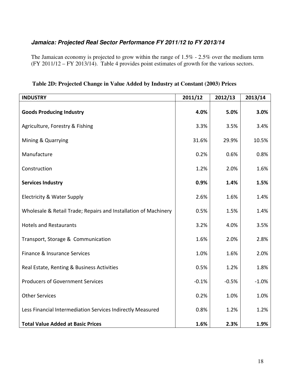#### **Jamaica: Projected Real Sector Performance FY 2011/12 to FY 2013/14**

The Jamaican economy is projected to grow within the range of 1.5% - 2.5% over the medium term (FY 2011/12 – FY 2013/14). Table 4 provides point estimates of growth for the various sectors.

| <b>INDUSTRY</b>                                                 | 2011/12 | 2012/13 | 2013/14 |
|-----------------------------------------------------------------|---------|---------|---------|
| <b>Goods Producing Industry</b>                                 | 4.0%    | 5.0%    | 3.0%    |
| Agriculture, Forestry & Fishing                                 | 3.3%    | 3.5%    | 3.4%    |
| Mining & Quarrying                                              | 31.6%   | 29.9%   | 10.5%   |
| Manufacture                                                     | 0.2%    | 0.6%    | 0.8%    |
| Construction                                                    | 1.2%    | 2.0%    | 1.6%    |
| <b>Services Industry</b>                                        | 0.9%    | 1.4%    | 1.5%    |
| <b>Electricity &amp; Water Supply</b>                           | 2.6%    | 1.6%    | 1.4%    |
| Wholesale & Retail Trade; Repairs and Installation of Machinery | 0.5%    | 1.5%    | 1.4%    |
| <b>Hotels and Restaurants</b>                                   | 3.2%    | 4.0%    | 3.5%    |
| Transport, Storage & Communication                              | 1.6%    | 2.0%    | 2.8%    |
| Finance & Insurance Services                                    | 1.0%    | 1.6%    | 2.0%    |
| Real Estate, Renting & Business Activities                      | 0.5%    | 1.2%    | 1.8%    |
| <b>Producers of Government Services</b>                         | $-0.1%$ | $-0.5%$ | $-1.0%$ |
| <b>Other Services</b>                                           | 0.2%    | 1.0%    | 1.0%    |
| Less Financial Intermediation Services Indirectly Measured      | 0.8%    | 1.2%    | 1.2%    |
| <b>Total Value Added at Basic Prices</b>                        | 1.6%    | 2.3%    | 1.9%    |

**Table 2D: Projected Change in Value Added by Industry at Constant (2003) Prices**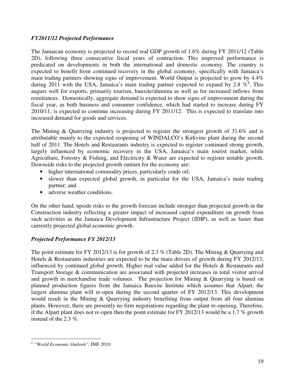#### *FY2011/12 Projected Performance*

The Jamaican economy is projected to record real GDP growth of 1.6% during FY 2011/12 (Table 2D), following three consecutive fiscal years of contraction. This improved performance is predicated on developments in both the international and domestic economy. The country is expected to benefit from continued recovery in the global economy, specifically with Jamaica's main trading partners showing signs of improvement. World Output is projected to grow by 4.4% during 2011 with the USA, Jamaica's main trading partner expected to expand by 2.8  $\%$ <sup>4</sup>. This augurs well for exports, primarily tourism, bauxite/alumina as well as for increased inflows from remittances. Domestically, aggregate demand is expected to show signs of improvement during the fiscal year, as both business and consumer confidence, which had started to increase during FY 2010/11, is expected to continue increasing during FY 2011/12. This is expected to translate into increased demand for goods and services.

The Mining & Quarrying industry is projected to register the strongest growth of 31.6% and is attributable mainly to the expected reopening of WINDALCO's Kirkvine plant during the second half of 2011. The Hotels and Restaurants industry is expected to register continued strong growth, largely influenced by economic recovery in the USA, Jamaica's main tourist market, while Agriculture, Forestry & Fishing, and Electricity & Water are expected to register notable growth. Downside risks to the projected growth outturn for the economy are:

- higher international commodity prices, particularly crude oil;
- slower than expected global growth, in particular for the USA, Jamaica's main trading partner; and
- adverse weather conditions.

On the other hand, upside risks to the growth forecast include stronger than projected growth in the Construction industry reflecting a greater impact of increased capital expenditure on growth from such activities as the Jamaica Development Infrastructure Project (JDIP), as well as faster than currently projected global economic growth.

#### *Projected Performance FY 2012/13*

The point estimate for FY 2012/13 is for growth of 2.3 % (Table 2D). The Mining & Quarrying and Hotels & Restaurants industries are expected to be the main drivers of growth during FY 2012/13, influenced by continued global growth. Higher real value added for the Hotels & Restaurants and Transport Storage & communication are associated with projected increases in total visitor arrival and growth in merchandise trade volumes. The projection for Mining & Quarrying is based on planned production figures from the Jamaica Bauxite Institute which assumes that Alpart, the largest alumina plant will re-open during the second quarter of FY 2012/13. This development would result in the Mining & Quarrying industry benefiting from output from all four alumina plants. However, there are presently no firm negotiations regarding the plant re-opening*.* Therefore, if the Alpart plant does not re-open then the point estimate for FY 2012/13 would be a 1.7 % growth instead of the 2.3 %.

 $\overline{a}$ 4 *"World Economic Outlook",* IMF 2010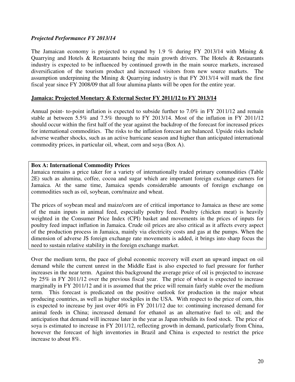#### *Projected Performance FY 2013/14*

The Jamaican economy is projected to expand by 1.9 % during FY 2013/14 with Mining  $\&$ Quarrying and Hotels & Restaurants being the main growth drivers. The Hotels & Restaurants industry is expected to be influenced by continued growth in the main source markets, increased diversification of the tourism product and increased visitors from new source markets. The assumption underpinning the Mining & Quarrying industry is that FY 2013/14 will mark the first fiscal year since FY 2008/09 that all four alumina plants will be open for the entire year.

#### **Jamaica: Projected Monetary & External Sector FY 2011/12 to FY 2013/14**

Annual point- to-point inflation is expected to subside further to 7.0% in FY 2011/12 and remain stable at between 5.5% and 7.5% through to FY 2013/14. Most of the inflation in FY 2011/12 should occur within the first half of the year against the backdrop of the forecast for increased prices for international commodities. The risks to the inflation forecast are balanced. Upside risks include adverse weather shocks, such as an active hurricane season and higher than anticipated international commodity prices, in particular oil, wheat, corn and soya (Box A).

#### **Box A: International Commodity Prices**

Jamaica remains a price taker for a variety of internationally traded primary commodities (Table 2E) such as alumina, coffee, cocoa and sugar which are important foreign exchange earners for Jamaica. At the same time, Jamaica spends considerable amounts of foreign exchange on commodities such as oil, soybean, corn/maize and wheat.

The prices of soybean meal and maize/corn are of critical importance to Jamaica as these are some of the main inputs in animal feed, especially poultry feed. Poultry (chicken meat) is heavily weighted in the Consumer Price Index (CPI) basket and movements in the prices of inputs for poultry feed impact inflation in Jamaica. Crude oil prices are also critical as it affects every aspect of the production process in Jamaica, mainly via electricity costs and gas at the pumps. When the dimension of adverse J\$ foreign exchange rate movements is added, it brings into sharp focus the need to sustain relative stability in the foreign exchange market.

Over the medium term, the pace of global economic recovery will exert an upward impact on oil demand while the current unrest in the Middle East is also expected to fuel pressure for further increases in the near term. Against this background the average price of oil is projected to increase by 25% in FY 2011/12 over the previous fiscal year. The price of wheat is expected to increase marginally in FY 2011/12 and it is assumed that the price will remain fairly stable over the medium term. This forecast is predicated on the positive outlook for production in the major wheat producing countries, as well as higher stockpiles in the USA. With respect to the price of corn, this is expected to increase by just over 40% in FY 2011/12 due to: continuing increased demand for animal feeds in China; increased demand for ethanol as an alternative fuel to oil; and the anticipation that demand will increase later in the year as Japan rebuilds its food stock. The price of soya is estimated to increase in FY 2011/12, reflecting growth in demand, particularly from China, however the forecast of high inventories in Brazil and China is expected to restrict the price increase to about 8%.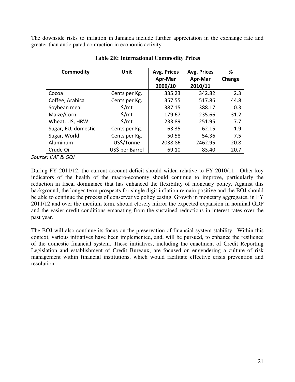The downside risks to inflation in Jamaica include further appreciation in the exchange rate and greater than anticipated contraction in economic activity.

| Commodity           | Unit              | Avg. Prices | Avg. Prices | %      |
|---------------------|-------------------|-------------|-------------|--------|
|                     |                   | Apr-Mar     | Apr-Mar     | Change |
|                     |                   | 2009/10     | 2010/11     |        |
| Cocoa               | Cents per Kg.     | 335.23      | 342.82      | 2.3    |
| Coffee, Arabica     | Cents per Kg.     | 357.55      | 517.86      | 44.8   |
| Soybean meal        | $\frac{1}{2}$ /mt | 387.15      | 388.17      | 0.3    |
| Maize/Corn          | $\frac{2}{3}$ /mt | 179.67      | 235.66      | 31.2   |
| Wheat, US, HRW      | $\frac{2}{3}$ /mt | 233.89      | 251.95      | 7.7    |
| Sugar, EU, domestic | Cents per Kg.     | 63.35       | 62.15       | $-1.9$ |
| Sugar, World        | Cents per Kg.     | 50.58       | 54.36       | 7.5    |
| Aluminum            | US\$/Tonne        | 2038.86     | 2462.95     | 20.8   |
| Crude Oil           | US\$ per Barrel   | 69.10       | 83.40       | 20.7   |

#### **Table 2E: International Commodity Prices**

Source: IMF & GOJ

During FY 2011/12, the current account deficit should widen relative to FY 2010/11. Other key indicators of the health of the macro-economy should continue to improve, particularly the reduction in fiscal dominance that has enhanced the flexibility of monetary policy. Against this background, the longer-term prospects for single digit inflation remain positive and the BOJ should be able to continue the process of conservative policy easing. Growth in monetary aggregates, in FY 2011/12 and over the medium term, should closely mirror the expected expansion in nominal GDP and the easier credit conditions emanating from the sustained reductions in interest rates over the past year.

The BOJ will also continue its focus on the preservation of financial system stability. Within this context, various initiatives have been implemented, and, will be pursued, to enhance the resilience of the domestic financial system. These initiatives, including the enactment of Credit Reporting Legislation and establishment of Credit Bureaux, are focused on engendering a culture of risk management within financial institutions, which would facilitate effective crisis prevention and resolution.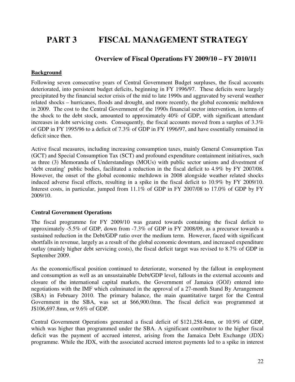# **PART 3 FISCAL MANAGEMENT STRATEGY**

#### **Overview of Fiscal Operations FY 2009/10 – FY 2010/11**

#### **Background**

Following seven consecutive years of Central Government Budget surpluses, the fiscal accounts deteriorated, into persistent budget deficits, beginning in FY 1996/97. These deficits were largely precipitated by the financial sector crisis of the mid to late 1990s and aggravated by several weather related shocks – hurricanes, floods and drought, and more recently, the global economic meltdown in 2009. The cost to the Central Government of the 1990s financial sector intervention, in terms of the shock to the debt stock, amounted to approximately 40% of GDP, with significant attendant increases in debt servicing costs. Consequently, the fiscal accounts moved from a surplus of 3.3% of GDP in FY 1995/96 to a deficit of 7.3% of GDP in FY 1996/97, and have essentially remained in deficit since then.

Active fiscal measures, including increasing consumption taxes, mainly General Consumption Tax (GCT) and Special Consumption Tax (SCT) and profound expenditure containment initiatives, such as three (3) Memoranda of Understandings (MOUs) with public sector unions and divestment of 'debt creating' public bodies, facilitated a reduction in the fiscal deficit to 4.9% by FY 2007/08. However, the onset of the global economic meltdown in 2008 alongside weather related shocks induced adverse fiscal effects, resulting in a spike in the fiscal deficit to 10.9% by FY 2009/10. Interest costs, in particular, jumped from 11.1% of GDP in FY 2007/08 to 17.0% of GDP by FY 2009/10.

#### **Central Government Operations**

The fiscal programme for FY 2009/10 was geared towards containing the fiscal deficit to approximately -5.5% of GDP, down from -7.3% of GDP in FY 2008/09, as a precursor towards a sustained reduction in the Debt/GDP ratio over the medium term. However, faced with significant shortfalls in revenue, largely as a result of the global economic downturn, and increased expenditure outlay (mainly higher debt servicing costs), the fiscal deficit target was revised to 8.7% of GDP in September 2009.

As the economic/fiscal position continued to deteriorate, worsened by the fallout in employment and consumption as well as an unsustainable Debt/GDP level, fallouts in the external accounts and closure of the international capital markets, the Government of Jamaica (GOJ) entered into negotiations with the IMF which culminated in the approval of a 27-month Stand By Arrangement (SBA) in February 2010. The primary balance, the main quantitative target for the Central Government in the SBA, was set at \$66,900.0mn. The fiscal deficit was programmed at J\$106,697.8mn, or 9.6% of GDP.

Central Government Operations generated a fiscal deficit of \$121,258.4mn, or 10.9% of GDP, which was higher than programmed under the SBA. A significant contributor to the higher fiscal deficit was the payment of accrued interest, arising from the Jamaica Debt Exchange (JDX) programme. While the JDX, with the associated accrued interest payments led to a spike in interest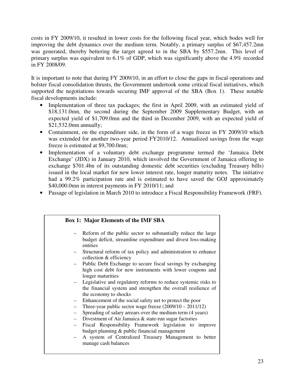costs in FY 2009/10, it resulted in lower costs for the following fiscal year, which bodes well for improving the debt dynamics over the medium term. Notably, a primary surplus of \$67,457.2mn was generated, thereby bettering the target agreed to in the SBA by \$557.2mn. This level of primary surplus was equivalent to 6.1% of GDP, which was significantly above the 4.9% recorded in FY 2008/09.

It is important to note that during FY 2009/10, in an effort to close the gaps in fiscal operations and bolster fiscal consolidation thrusts, the Government undertook some critical fiscal initiatives, which supported the negotiations towards securing IMF approval of the SBA (Box 1). These notable fiscal developments include:

- Implementation of three tax packages; the first in April 2009, with an estimated yield of \$18,131.0mn, the second during the September 2009 Supplementary Budget, with an expected yield of \$1,709.0mn and the third in December 2009, with an expected yield of \$21,532.0mn annually;
- Containment, on the expenditure side, in the form of a wage freeze in FY 2009/10 which was extended for another two-year period FY2010/12. Annualized savings from the wage freeze is estimated at \$9,700.0mn;
- Implementation of a voluntary debt exchange programme termed the 'Jamaica Debt Exchange' (JDX) in January 2010, which involved the Government of Jamaica offering to exchange \$701.4bn of its outstanding domestic debt securities (excluding Treasury bills) issued in the local market for new lower interest rate, longer maturity notes. The initiative had a 99.2% participation rate and is estimated to have saved the GOJ approximately \$40,000.0mn in interest payments in FY 2010/11; and
- Passage of legislation in March 2010 to introduce a Fiscal Responsibility Framework (FRF).

|     | <b>Box 1: Major Elements of the IMF SBA</b>                                                                                                                |
|-----|------------------------------------------------------------------------------------------------------------------------------------------------------------|
|     | Reform of the public sector to substantially reduce the large<br>budget deficit, streamline expenditure and divest loss-making<br>entities                 |
|     | Structural reform of tax policy and administration to enhance<br>collection & efficiency                                                                   |
| $-$ | Public Debt Exchange to secure fiscal savings by exchanging<br>high cost debt for new instruments with lower coupons and<br>longer maturities              |
|     | - Legislative and regulatory reforms to reduce systemic risks to<br>the financial system and strengthen the overall resilience of<br>the economy to shocks |
|     | Enhancement of the social safety net to protect the poor                                                                                                   |
|     | Three-year public sector wage freeze $(2009/10 - 2011/12)$                                                                                                 |
|     | Spreading of salary arrears over the medium term (4 years)                                                                                                 |
|     | Divestment of Air Jamaica & state-run sugar factories                                                                                                      |
|     | Fiscal Responsibility Framework legislation to improve                                                                                                     |
|     | budget planning & public financial management                                                                                                              |
| $-$ | A system of Centralized Treasury Management to better<br>manage cash balances                                                                              |
|     |                                                                                                                                                            |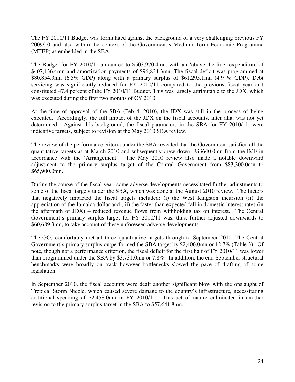The FY 2010/11 Budget was formulated against the background of a very challenging previous FY 2009/10 and also within the context of the Government's Medium Term Economic Programme (MTEP) as embedded in the SBA.

The Budget for FY 2010/11 amounted to \$503,970.4mn, with an 'above the line' expenditure of \$407,136.4mn and amortization payments of \$96,834.3mn. The fiscal deficit was programmed at \$80,854.3mn (6.5% GDP) along with a primary surplus of \$61,295.1mn (4.9 % GDP). Debt servicing was significantly reduced for FY 2010/11 compared to the previous fiscal year and constituted 47.4 percent of the FY 2010/11 Budget. This was largely attributable to the JDX, which was executed during the first two months of CY 2010.

At the time of approval of the SBA (Feb 4, 2010), the JDX was still in the process of being executed. Accordingly, the full impact of the JDX on the fiscal accounts, inter alia, was not yet determined. Against this background, the fiscal parameters in the SBA for FY 2010/11, were indicative targets, subject to revision at the May 2010 SBA review.

The review of the performance criteria under the SBA revealed that the Government satisfied all the quantitative targets as at March 2010 and subsequently drew down US\$640.0mn from the IMF in accordance with the 'Arrangement'. The May 2010 review also made a notable downward adjustment to the primary surplus target of the Central Government from \$83,300.0mn to \$65,900.0mn.

During the course of the fiscal year, some adverse developments necessitated further adjustments to some of the fiscal targets under the SBA, which was done at the August 2010 review. The factors that negatively impacted the fiscal targets included: (i) the West Kingston incursion (ii) the appreciation of the Jamaica dollar and (iii) the faster than expected fall in domestic interest rates (in the aftermath of JDX) – reduced revenue flows from withholding tax on interest. The Central Government's primary surplus target for FY 2010/11 was, thus, further adjusted downwards to \$60,689.3mn, to take account of these unforeseen adverse developments.

The GOJ comfortably met all three quantitative targets through to September 2010. The Central Government's primary surplus outperformed the SBA target by \$2,406.0mn or 12.7% (Table 3). Of note, though not a performance criterion, the fiscal deficit for the first half of FY 2010/11 was lower than programmed under the SBA by \$3,731.0mn or 7.8%. In addition, the end-September structural benchmarks were broadly on track however bottlenecks slowed the pace of drafting of some legislation.

In September 2010, the fiscal accounts were dealt another significant blow with the onslaught of Tropical Storm Nicole, which caused severe damage to the country's infrastructure, necessitating additional spending of \$2,458.0mn in FY 2010/11. This act of nature culminated in another revision to the primary surplus target in the SBA to \$57,641.8mn.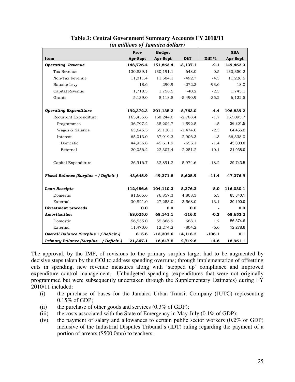|                                         | <i>ui muuviis oj Jumulla avuurs)</i><br>Prov | <b>Budget</b> |            |                   | <b>SBA</b>  |
|-----------------------------------------|----------------------------------------------|---------------|------------|-------------------|-------------|
| Item                                    | Apr-Sept                                     | Apr-Sept      | Diff       | Diff <sup>%</sup> | Apr-Sept    |
| <b>Operating Revenue</b>                | 148,726.4                                    | 151,863.4     | $-3,137.1$ | $-2.1$            | 149,462.3   |
|                                         |                                              |               | 648.0      | 0.5               |             |
| Tax Revenue                             | 130,839.1                                    | 130,191.1     |            |                   | 130,350.2   |
| Non-Tax Revenue                         | 11,011.4                                     | 11,504.1      | $-492.7$   | $-4.3$            | 11,226.5    |
| Bauxite Levy                            | 18.6                                         | 290.9         | $-272.3$   | $-93.6$           | 18.0        |
| Capital Revenue                         | 1,718.3                                      | 1,758.5       | $-40.2$    | $-2.3$            | 1,745.1     |
| Grants                                  | 5,139.0                                      | 8,118.8       | $-5,490.9$ | $-35.2$           | 6,122.5     |
| <b>Operating Expenditure</b>            | 192,372.3                                    | 201,135.2     | $-8,763.0$ | $-4.4$            | 196,839.2   |
| Recurrent Expenditure                   | 165,455.6                                    | 168,244.0     | $-2,788.4$ | $-1.7$            | 167,095.7   |
| Programmes                              | 36,797.2                                     | 35,204.7      | 1,592.5    | 4.5               | 36,301.5    |
| Wages & Salaries                        | 63,645.5                                     | 65,120.1      | $-1,474.6$ | $-2.3$            | 64,456.2    |
| Interest                                | 65,013.0                                     | 67,919.3      | $-2,906.3$ | $-4.3$            | 66,338.0    |
| Domestic                                | 44,956.8                                     | 45,611.9      | $-655.1$   | $-1.4$            | 45,300.0    |
| External                                | 20,056.2                                     | 22,307.4      | $-2,251.2$ | $-10.1$           | 21,038.0    |
| Capital Expenditure                     | 26,916.7                                     | 32,891.2      | $-5,974.6$ | $-18.2$           | 29,743.5    |
| Fiscal Balance (Surplus + / Deficit -)  | $-43,645.9$                                  | $-49,271.8$   | 5,625.9    | $-11.4$           | $-47,376.9$ |
| <b>Loan Receipts</b>                    | 112,486.6                                    | 104,110.3     | 8,376.2    | 8.0               | 116,030.1   |
| Domestic                                | 81,665.6                                     | 76,857.3      | 4,808.3    | 6.3               | 85,840.1    |
| External                                | 30,821.0                                     | 27,253.0      | 3,568.0    | 13.1              | 30,190.0    |
| <b>Divestment proceeds</b>              | 0.0                                          | 0.0           | 0.0        |                   | 0.0         |
| Amortization                            | 68,025.0                                     | 68,141.1      | $-116.0$   | $-0.2$            | 68,653.2    |
| Domestic                                | 56,555.0                                     | 55,866.9      | 688.1      | 1.2               | 56,374.6    |
| External                                | 11,470.0                                     | 12,274.2      | $-804.2$   | $-6.6$            | 12,278.6    |
| Overall Balance (Surplus + / Deficit )  | 815.6                                        | $-13,302.6$   | 14,118.2   | $-106.1$          | 0.1         |
| Primary Balance (Surplus + / Deficit -) | 21,367.1                                     | 18,647.5      | 2,719.6    | 14.6              | 18,961.1    |

#### **Table 3: Central Government Summary Accounts FY 2010/11**  *(in millions of Jamaica dollars)*

The approval, by the IMF, of revisions to the primary surplus target had to be augmented by decisive steps taken by the GOJ to address spending overruns; through implementation of offsetting cuts in spending, new revenue measures along with 'stepped up' compliance and improved expenditure control management. Unbudgeted spending (expenditures that were not originally programmed but were subsequently undertaken through the Supplementary Estimates) during FY 2010/11 included:

- (i) the purchase of buses for the Jamaica Urban Transit Company (JUTC) representing 0.15% of GDP;
- (ii) the purchase of other goods and services  $(0.3\% \text{ of GDP})$ ;
- (iii) the costs associated with the State of Emergency in May-July  $(0.1\% \text{ of GDP})$ ;
- (iv) the payment of salary and allowances to certain public sector workers (0.2% of GDP) inclusive of the Industrial Disputes Tribunal's (IDT) ruling regarding the payment of a portion of arrears (\$500.0mn) to teachers;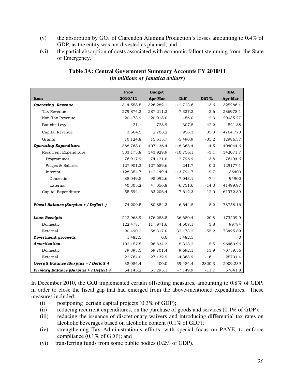- (v) the absorption by GOJ of Clarendon Alumina Production's losses amounting to 0.4% of GDP, as the entity was not divested as planned; and
- (vi) the partial absorption of costs associated with economic fallout stemming from the State of Emergency.

|                                         | Prov        | <b>Budget</b> |             |                   | <b>SBA</b>  |
|-----------------------------------------|-------------|---------------|-------------|-------------------|-------------|
| Item                                    | 2010/11     | Apr-Mar       | Diff        | Diff <sup>%</sup> | Apr-Mar     |
| <b>Operating Revenue</b>                | 314,558.5   | 326,282.1     | $-11,723.6$ | $-3.6$            | 325286.4    |
| Tax Revenue                             | 279,874.2   | 287,211.3     | $-7,337.2$  | $-2.6$            | 286978.1    |
| Non-Tax Revenue                         | 20,473.9    | 20,018.0      | 456.0       | 2.3               | 20035.27    |
| Bauxite Levy                            | 421.1       | 728.9         | $-307.8$    | $-42.2$           | 521.88      |
| Capital Revenue                         | 3,664.5     | 2,708.2       | 956.3       | 35.3              | 4764.773    |
| Grants                                  | 10,124.8    | 15,615.7      | $-5,490.9$  | $-35.2$           | 12986.37    |
| <b>Operating Expenditure</b>            | 388,768.0   | 407,136.4     | $-18,368.4$ | $-4.5$            | 404044.6    |
| Recurrent Expenditure                   | 333,173.8   | 343,929.9     | $-10,756.1$ | $-3.1$            | 342071.7    |
| Programmes                              | 76,917.9    | 74,121.0      | 2,796.9     | 3.8               | 76494.6     |
| Wages & Salaries                        | 127,901.3   | 127,659.6     | 241.7       | 0.2               | 129177.1    |
| Interest                                | 128,354.7   | 142,149.4     | $-13,794.7$ | $-9.7$            | 136400      |
| Domestic                                | 88,049.5    | 95,092.6      | $-7,043.1$  | $-7.4$            | 94900       |
| External                                | 40,305.2    | 47,056.8      | $-6,751.6$  | $-14.3$           | 41499.97    |
| Capital Expenditure                     | 55,594.1    | 63,206.4      | $-7,612.3$  | $-12.0$           | 61972.89    |
| Fiscal Balance (Surplus + / Deficit -)  | $-74,209.5$ | $-80,854.3$   | 6,644.8     | $-8.2$            | $-78758.16$ |
| <b>Loan Receipts</b>                    | 212,968.9   | 176,288.5     | 36,680.4    | 20.8              | 173209.9    |
| Domestic                                | 122,478.7   | 117,971.6     | 4,507.1     | 3.8               | 99784       |
| External                                | 90,490.2    | 58,317.0      | 32,173.2    | 55.2              | 73425.89    |
| <b>Divestment proceeds</b>              | 1,482.5     | 0.0           | 1,482.5     |                   | $\Omega$    |
| Amortization                            | 102,157.5   | 96,834.3      | 5,323.2     | 5.5               | 96460.96    |
| Domestic                                | 79,393.5    | 69,701.4      | 9,692.1     | 13.9              | 70759.56    |
| External                                | 22,764.0    | 27,132.9      | $-4,368.9$  | $-16.1$           | 25701.4     |
| Overall Balance (Surplus + / Deficit -) | 38,084.4    | $-1,400.0$    | 39,484.4    | $-2820.3$         | $-2009.239$ |
| Primary Balance (Surplus + / Deficit -) | 54,145.2    | 61,295.1      | $-7,149.9$  | $-11.7$           | 57641.8     |

#### **Table 3A: Central Government Summary Accounts FY 2010/11 (***in millions of Jamaica dollars***)**

In December 2010, the GOJ implemented certain offsetting measures, amounting to 0.8% of GDP, in order to close the fiscal gap that had emerged from the above-mentioned expenditures. These measures included:

- (i) postponing certain capital projects  $(0.3\% \text{ of GDP})$ ;
- (ii) reducing recurrent expenditures, on the purchase of goods and services (0.1% of GDP);
- (iii) reducing the issuance of discretionary waivers and introducing differential tax rates on alcoholic beverages based on alcoholic content (0.1% of GDP);
- (iv) strengthening Tax Administration's efforts, with special focus on PAYE, to enforce compliance (0.1% of GDP); and
- (vi) transferring funds from some public bodies (0.2% of GDP).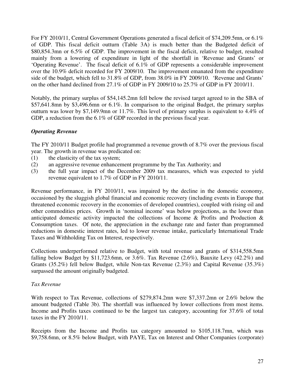For FY 2010/11, Central Government Operations generated a fiscal deficit of \$74,209.5mn, or 6.1% of GDP. This fiscal deficit outturn (Table 3A) is much better than the Budgeted deficit of \$80,854.3mn or 6.5% of GDP. The improvement in the fiscal deficit, relative to budget, resulted mainly from a lowering of expenditure in light of the shortfall in 'Revenue and Grants' or 'Operating Revenue'. The fiscal deficit of 6.1% of GDP represents a considerable improvement over the 10.9% deficit recorded for FY 2009/10. The improvement emanated from the expenditure side of the budget, which fell to 31.8% of GDP, from 38.0% in FY 2009/10. 'Revenue and Grants' on the other hand declined from 27.1% of GDP in FY 2009/10 to 25.7% of GDP in FY 2010/11.

Notably, the primary surplus of \$54,145.2mn fell below the revised target agreed to in the SBA of \$57,641.8mn by \$3,496.6mn or 6.1%. In comparison to the original Budget, the primary surplus outturn was lower by \$7,149.9mn or 11.7%. This level of primary surplus is equivalent to 4.4% of GDP, a reduction from the 6.1% of GDP recorded in the previous fiscal year.

#### *Operating Revenue*

The FY 2010/11 Budget profile had programmed a revenue growth of 8.7% over the previous fiscal year. The growth in revenue was predicated on:

- (1) the elasticity of the tax system;
- (2) an aggressive revenue enhancement programme by the Tax Authority; and
- (3) the full year impact of the December 2009 tax measures, which was expected to yield revenue equivalent to 1.7% of GDP in FY 2010/11.

Revenue performance, in FY 2010/11, was impaired by the decline in the domestic economy, occasioned by the sluggish global financial and economic recovery (including events in Europe that threatened economic recovery in the economies of developed countries), coupled with rising oil and other commodities prices. Growth in 'nominal income' was below projections, as the lower than anticipated domestic activity impacted the collections of Income & Profits and Production & Consumption taxes. Of note, the appreciation in the exchange rate and faster than programmed reductions in domestic interest rates, led to lower revenue intake, particularly International Trade Taxes and Withholding Tax on Interest, respectively.

Collections underperformed relative to Budget, with total revenue and grants of \$314,558.5mn falling below Budget by \$11,723.6mn, or 3.6%. Tax Revenue  $(2.6\%)$ , Bauxite Levy  $(42.2\%)$  and Grants (35.2%) fell below Budget, while Non-tax Revenue (2.3%) and Capital Revenue (35.3%) surpassed the amount originally budgeted.

#### *Tax Revenue*

With respect to Tax Revenue, collections of \$279,874.2mn were \$7,337.2mn or 2.6% below the amount budgeted (Table 3b). The shortfall was influenced by lower collections from most items. Income and Profits taxes continued to be the largest tax category, accounting for 37.6% of total taxes in the FY 2010/11.

Receipts from the Income and Profits tax category amounted to \$105,118.7mn, which was \$9,758.6mn, or 8.5% below Budget, with PAYE, Tax on Interest and Other Companies (corporate)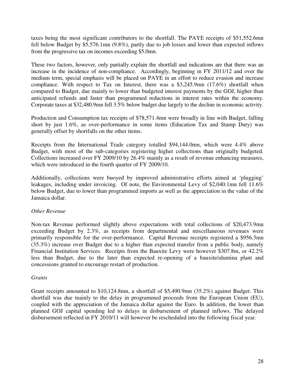taxes being the most significant contributors to the shortfall. The PAYE receipts of \$51,552.6mn fell below Budget by \$5,576.1mn (9.8%), partly due to job losses and lower than expected inflows from the progressive tax on incomes exceeding \$5.0mn.

These two factors, however, only partially explain the shortfall and indications are that there was an increase in the incidence of non-compliance. Accordingly, beginning in FY 2011/12 and over the medium term, special emphasis will be placed on PAYE in an effort to reduce evasion and increase compliance. With respect to Tax on Interest, there was a \$3,245.9mn (17.6%) shortfall when compared to Budget, due mainly to lower than budgeted interest payments by the GOJ, higher than anticipated refunds and faster than programmed reductions in interest rates within the economy. Corporate taxes at \$32,480.9mn fell 3.5% below budget due largely to the decline in economic activity.

Production and Consumption tax receipts of \$78,571.4mn were broadly in line with Budget, falling short by just 1.6%, as over-performance in some items (Education Tax and Stamp Duty) was generally offset by shortfalls on the other items.

Receipts from the International Trade category totalled \$94,144.0mn, which were 4.4% above Budget, with most of the sub-categories registering higher collections than originally budgeted. Collections increased over FY 2009/10 by 26.4% mainly as a result of revenue enhancing measures, which were introduced in the fourth quarter of FY 2009/10.

Additionally, collections were buoyed by improved administrative efforts aimed at 'plugging' leakages, including under invoicing. Of note, the Environmental Levy of \$2,040.1mn fell 11.6% below Budget, due to lower than programmed imports as well as the appreciation in the value of the Jamaica dollar.

#### *Other Revenue*

Non-tax Revenue performed slightly above expectations with total collections of \$20,473.9mn exceeding Budget by 2.3%, as receipts from departmental and miscellaneous revenues were primarily responsible for the over-performance. Capital Revenue receipts registered a \$956.3mn (35.3%) increase over Budget due to a higher than expected transfer from a public body, namely Financial Institution Services. Receipts from the Bauxite Levy were however \$307.8m, or 42.2% less than Budget, due to the later than expected re-opening of a bauxite/alumina plant and concessions granted to encourage restart of production.

#### *Grants*

Grant receipts amounted to \$10,124.8mn, a shortfall of \$5,490.9mn (35.2%) against Budget. This shortfall was due mainly to the delay in programmed proceeds from the European Union (EU), coupled with the appreciation of the Jamaica dollar against the Euro. In addition, the lower than planned GOJ capital spending led to delays in disbursement of planned inflows. The delayed disbursement reflected in FY 2010/11 will however be rescheduled into the following fiscal year.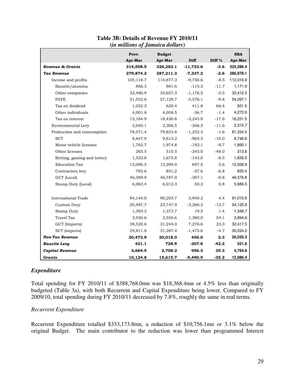|                             | Prov.     | <b>Budget</b> |             |                   | <b>SBA</b> |
|-----------------------------|-----------|---------------|-------------|-------------------|------------|
|                             | Apr-Mar   | Apr-Mar       | Diff        | Diff <sup>%</sup> | Apr-Mar    |
| Revenue & Grants            | 314,558.5 | 326,282.1     | $-11,723.6$ | $-3.6$            | 325,286.4  |
| <b>Tax Revenue</b>          | 279,874.2 | 287,211.3     | $-7,337.2$  | $-2.6$            | 286,978.1  |
| Income and profits          | 105,118.7 | 114,877.3     | $-9,758.6$  | $-8.5$            | 112,316.9  |
| Bauxite/alumina             | 866.3     | 981.6         | $-115.3$    | $-11.7$           | 1,171.9    |
| Other companies             | 32,480.9  | 33,657.3      | $-1,176.5$  | $-3.5$            | 33,412.3   |
| PAYE                        | 51,552.6  | 57,128.7      | $-5,576.1$  | $-9.8$            | 54,297.1   |
| Tax on dividend             | 1,032.3   | 620.4         | 411.8       | 66.4              | 931.5      |
| Other individuals           | 4,001.8   | 4,058.5       | $-56.7$     | $-1.4$            | 4,272.6    |
| Tax on interest             | 15,184.9  | 18,430.8      | $-3,245.9$  | $-17.6$           | 18,231.5   |
| Environmental Levy          | 2,040.1   | 2,306.5       | $-266.5$    | $-11.6$           | 2,315.7    |
| Production and consumption  | 78,571.4  | 79,823.8      | $-1,252.3$  | $-1.6$            | 81,334.5   |
| <b>SCT</b>                  | 8,647.9   | 9,613.2       | $-965.3$    | $-10.0$           | 8,746.6    |
| Motor vehicle licenses      | 1,782.7   | 1,974.8       | $-192.1$    | $-9.7$            | 1,890.1    |
| Other licenses              | 265.5     | 510.5         | $-245.0$    | $-48.0$           | 313.8      |
| Betting, gaming and lottery | 1,532.8   | 1,675.8       | $-143.0$    | $-8.5$            | 1,656.5    |
| <b>Education Tax</b>        | 13,096.5  | 12,399.0      | 697.5       | 5.6               | 12,508.9   |
| Contractors levy            | 793.6     | 851.2         | $-57.6$     | $-6.8$            | 855.4      |
| GCT (Local)                 | 46,389.9  | 46,787.0      | $-397.1$    | $-0.8$            | 49,376.8   |
| Stamp Duty (Local)          | 6,062.4   | 6,012.3       | 50.2        | 0.8               | 5,986.5    |
| <b>International Trade</b>  | 94,144.0  | 90,203.7      | 3,940.2     | 4.4               | 91,010.9   |
| Custom Duty                 | 20,487.7  | 23,747.9      | $-3,260.2$  | $-13.7$           | 24,125.9   |
| Stamp Duty                  | 1,393.2   | 1,373.7       | 19.5        | 1.4               | 1,348.7    |
| <b>Travel Tax</b>           | 3,930.6   | 2,550.6       | 1,380.0     | 54.1              | 2,894.6    |
| GCT (Imports)               | 38,520.6  | 31,244.0      | 7,276.6     | 23.3              | 32,417.5   |
| SCT (imports)               | 29,811.8  | 31,287.4      | $-1,475.6$  | $-4.7$            | 30,224.2   |
| <b>Non-Tax Revenue</b>      | 20,473.9  | 20,018.0      | 456.0       | 2.3               | 20,035.3   |
| <b>Bauxite Levy</b>         | 421.1     | 728.9         | $-307.8$    | $-42.2$           | 521.8      |
| Capital Revenue             | 3,664.5   | 2,708.2       | 956.3       | 35.3              | 4,764.8    |
| Grants                      | 10,124.8  | 15,615.7      | $-5,490.9$  | $-35.2$           | 12,986.4   |

#### **Table 3B: Details of Revenue FY 2010/11 (***in millions of Jamaica dollars***)**

#### *Expenditure*

Total spending for FY 2010/11 of \$388,768.0mn was \$18,368.4mn or 4.5% less than originally budgeted (Table 3a), with both Recurrent and Capital Expenditure being lower. Compared to FY 2009/10, total spending during FY 2010/11 decreased by 7.8%, roughly the same in real terms.

#### *Recurrent Expenditure*

Recurrent Expenditure totalled \$333,173.8mn, a reduction of \$10,756.1mn or 3.1% below the original Budget. The main contributor to the reduction was lower than programmed Interest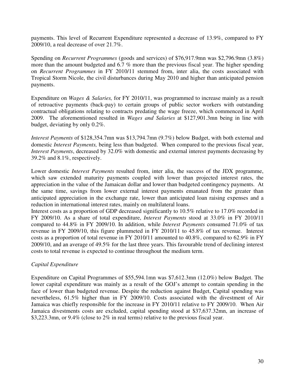payments. This level of Recurrent Expenditure represented a decrease of 13.9%, compared to FY 2009/10, a real decrease of over 21.7%.

Spending on *Recurrent Programmes* (goods and services) of \$76,917.9mn was \$2,796.9mn (3.8%) more than the amount budgeted and 6.7 % more than the previous fiscal year. The higher spending on *Recurrent Programmes* in FY 2010/11 stemmed from, inter alia, the costs associated with Tropical Storm Nicole, the civil disturbances during May 2010 and higher than anticipated pension payments.

Expenditure on *Wages & Salaries,* for FY 2010/11, was programmed to increase mainly as a result of retroactive payments (back-pay) to certain groups of public sector workers with outstanding contractual obligations relating to contracts predating the wage freeze, which commenced in April 2009. The aforementioned resulted in *Wages and Salaries* at \$127,901.3mn being in line with budget, deviating by only 0.2%.

*Interest Payments* of \$128,354.7mn was \$13,794.7mn (9.7%) below Budget, with both external and domestic *Interest Payments,* being less than budgeted. When compared to the previous fiscal year, *Interest Payments*, decreased by 32.0% with domestic and external interest payments decreasing by 39.2% and 8.1%, respectively.

Lower domestic *Interest Payments* resulted from, inter alia, the success of the JDX programme, which saw extended maturity payments coupled with lower than projected interest rates, the appreciation in the value of the Jamaican dollar and lower than budgeted contingency payments. At the same time, savings from lower external interest payments emanated from the greater than anticipated appreciation in the exchange rate, lower than anticipated loan raising expenses and a reduction in international interest rates, mainly on multilateral loans.

Interest costs as a proportion of GDP decreased significantly to 10.5% relative to 17.0% recorded in FY 2009/10. As a share of total expenditure, *Interest Payments* stood at 33.0% in FY 2010/11 compared to 44.8% in FY 2009/10. In addition, while *Interest Payments* consumed 71.0% of tax revenue in FY 2009/10, this figure plummeted in FY 2010/11 to 45.8% of tax revenue. Interest costs as a proportion of total revenue in FY 2010/11 amounted to 40.8%, compared to 62.9% in FY 2009/10, and an average of 49.5% for the last three years. This favourable trend of declining interest costs to total revenue is expected to continue throughout the medium term.

#### *Capital Expenditure*

Expenditure on Capital Programmes of \$55,594.1mn was \$7,612.3mn (12.0%) below Budget. The lower capital expenditure was mainly as a result of the GOJ's attempt to contain spending in the face of lower than budgeted revenue. Despite the reduction against Budget, Capital spending was nevertheless, 61.5% higher than in FY 2009/10. Costs associated with the divestment of Air Jamaica was chiefly responsible for the increase in FY 2010/11 relative to FY 2009/10. When Air Jamaica divestments costs are excluded, capital spending stood at \$37,637.32mn, an increase of \$3,223.3mn, or 9.4% (close to 2% in real terms) relative to the previous fiscal year.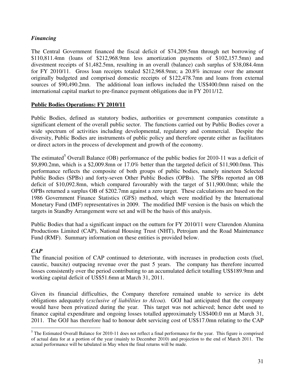#### *Financing*

The Central Government financed the fiscal deficit of \$74,209.5mn through net borrowing of \$110,811.4mn (loans of \$212,968.9mn less amortization payments of \$102,157.5mn) and divestment receipts of \$1,482.5mn, resulting in an overall (balance) cash surplus of \$38,084.4mn for FY 2010/11. Gross loan receipts totaled \$212,968.9mn; a 20.8% increase over the amount originally budgeted and comprised domestic receipts of \$122,478.7mn and loans from external sources of \$90,490.2mn. The additional loan inflows included the US\$400.0mn raised on the international capital market to pre-finance payment obligations due in FY 2011/12.

#### **Public Bodies Operations: FY 2010/11**

Public Bodies, defined as statutory bodies, authorities or government companies constitute a significant element of the overall public sector. The functions carried out by Public Bodies cover a wide spectrum of activities including developmental, regulatory and commercial. Despite the diversity, Public Bodies are instruments of public policy and therefore operate either as facilitators or direct actors in the process of development and growth of the economy.

The estimated<sup>5</sup> Overall Balance (OB) performance of the public bodies for 2010-11 was a deficit of \$9,890.2mn, which is a \$2,009.8mn or 17.0% better than the targeted deficit of \$11,900.0mn. This performance reflects the composite of both groups of public bodies, namely nineteen Selected Public Bodies (SPBs) and forty-seven Other Public Bodies (OPBs). The SPBs reported an OB deficit of \$10,092.8mn, which compared favourably with the target of \$11,900.0mn; while the OPBs returned a surplus OB of \$202.7mn against a zero target. These calculations are based on the 1986 Government Finance Statistics (GFS) method, which were modified by the International Monetary Fund (IMF) representatives in 2009. The modified IMF version is the basis on which the targets in Standby Arrangement were set and will be the basis of this analysis.

Public Bodies that had a significant impact on the outturn for FY 2010/11 were Clarendon Alumina Productions Limited (CAP), National Housing Trust (NHT), Petrojam and the Road Maintenance Fund (RMF). Summary information on these entities is provided below.

#### *CAP*

The financial position of CAP continued to deteriorate, with increases in production costs (fuel, caustic, bauxite) outpacing revenue over the past 5 years. The company has therefore incurred losses consistently over the period contributing to an accumulated deficit totalling US\$189.9mn and working capital deficit of US\$51.6mn at March 31, 2011.

Given its financial difficulties, the Company therefore remained unable to service its debt obligations adequately (*exclusive of liabilities to Alcoa*). GOJ had anticipated that the company would have been privatized during the year. This target was not achieved; hence debt used to finance capital expenditure and ongoing losses totalled approximately US\$400.0 mn at March 31, 2011. The GOJ has therefore had to honour debt servicing cost of US\$17.0mn relating to the CAP

 $\overline{a}$ <sup>5</sup> The Estimated Overall Balance for 2010-11 does not reflect a final performance for the year. This figure is comprised of actual data for at a portion of the year (mainly to December 2010) and projection to the end of March 2011. The actual performance will be tabulated in May when the final returns will be made.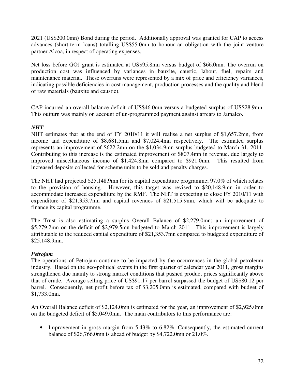2021 (US\$200.0mn) Bond during the period. Additionally approval was granted for CAP to access advances (short-term loans) totalling US\$55.0mn to honour an obligation with the joint venture partner Alcoa, in respect of operating expenses.

Net loss before GOJ grant is estimated at US\$95.8mn versus budget of \$66.0mn. The overrun on production cost was influenced by variances in bauxite, caustic, labour, fuel, repairs and maintenance material. These overruns were represented by a mix of price and efficiency variances, indicating possible deficiencies in cost management, production processes and the quality and blend of raw materials (bauxite and caustic).

CAP incurred an overall balance deficit of US\$46.0mn versus a budgeted surplus of US\$28.9mn. This outturn was mainly on account of un-programmed payment against arrears to Jamalco.

#### *NHT*

NHT estimates that at the end of FY 2010/11 it will realise a net surplus of \$1,657.2mn, from income and expenditure of \$8,681.5mn and \$7,024.4mn respectively. The estimated surplus represents an improvement of \$622.2mn on the \$1,034.9mn surplus budgeted to March 31, 2011. Contributing to this increase is the estimated improvement of \$807.4mn in revenue, due largely to improved miscellaneous income of \$1,424.8mn compared to \$921.0mn. This resulted from increased deposits collected for scheme units to be sold and penalty charges.

The NHT had projected \$25,148.9mn for its capital expenditure programme; 97.0% of which relates to the provision of housing. However, this target was revised to \$20,148.9mn in order to accommodate increased expenditure by the RMF. The NHT is expecting to close FY 2010/11 with expenditure of \$21,353.7mn and capital revenues of \$21,515.9mn, which will be adequate to finance its capital programme.

The Trust is also estimating a surplus Overall Balance of \$2,279.0mn; an improvement of \$5,279.2mn on the deficit of \$2,979.5mn budgeted to March 2011. This improvement is largely attributable to the reduced capital expenditure of \$21,353.7mn compared to budgeted expenditure of \$25,148.9mn.

#### *Petrojam*

The operations of Petrojam continue to be impacted by the occurrences in the global petroleum industry. Based on the geo-political events in the first quarter of calendar year 2011, gross margins strengthened due mainly to strong market conditions that pushed product prices significantly above that of crude. Average selling price of US\$91.17 per barrel surpassed the budget of US\$80.12 per barrel. Consequently, net profit before tax of \$3,205.0mn is estimated, compared with budget of \$1,733.0mn.

An Overall Balance deficit of \$2,124.0mn is estimated for the year, an improvement of \$2,925.0mn on the budgeted deficit of \$5,049.0mn. The main contributors to this performance are:

• Improvement in gross margin from 5.43% to 6.82%. Consequently, the estimated current balance of \$26,766.0mn is ahead of budget by \$4,722.0mn or 21.0%.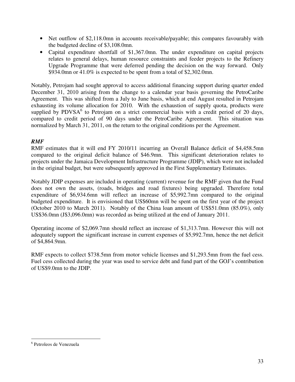- Net outflow of \$2,118.0mn in accounts receivable/payable; this compares favourably with the budgeted decline of \$3,108.0mn.
- Capital expenditure shortfall of \$1,367.0mn. The under expenditure on capital projects relates to general delays, human resource constraints and feeder projects to the Refinery Upgrade Programme that were deferred pending the decision on the way forward. Only \$934.0mn or 41.0% is expected to be spent from a total of \$2,302.0mn.

Notably, Petrojam had sought approval to access additional financing support during quarter ended December 31, 2010 arising from the change to a calendar year basis governing the PetroCaribe Agreement. This was shifted from a July to June basis, which at end August resulted in Petrojam exhausting its volume allocation for 2010. With the exhaustion of supply quota, products were supplied by PDVSA $<sup>6</sup>$  to Petrojam on a strict commercial basis with a credit period of 20 days,</sup> compared to credit period of 90 days under the PetroCaribe Agreement. This situation was normalized by March 31, 2011, on the return to the original conditions per the Agreement.

#### *RMF*

RMF estimates that it will end FY 2010/11 incurring an Overall Balance deficit of \$4,458.5mn compared to the original deficit balance of \$46.9mn. This significant deterioration relates to projects under the Jamaica Development Infrastructure Programme (JDIP), which were not included in the original budget, but were subsequently approved in the First Supplementary Estimates.

Notably JDIP expenses are included in operating (current) revenue for the RMF given that the Fund does not own the assets, (roads, bridges and road fixtures) being upgraded. Therefore total expenditure of \$6,934.6mn will reflect an increase of \$5,992.7mn compared to the original budgeted expenditure. It is envisioned that US\$60mn will be spent on the first year of the project (October 2010 to March 2011). Notably of the China loan amount of US\$51.0mn (85.0%), only US\$36.0mn (J\$3,096.0mn) was recorded as being utilized at the end of January 2011.

Operating income of \$2,069.7mn should reflect an increase of \$1,313.7mn. However this will not adequately support the significant increase in current expenses of \$5,992.7mn, hence the net deficit of \$4,864.9mn.

RMF expects to collect \$738.5mn from motor vehicle licenses and \$1,293.5mn from the fuel cess. Fuel cess collected during the year was used to service debt and fund part of the GOJ's contribution of US\$9.0mn to the JDIP.

 $\overline{a}$ 

<sup>6</sup> Petroleos de Venezuela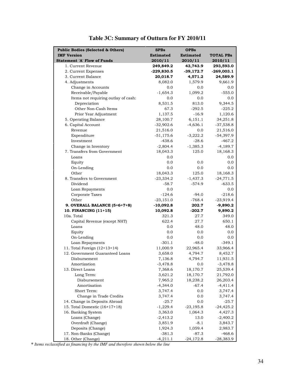| <b>Public Bodies (Selected &amp; Others)</b> | <b>SPBs</b>      | <b>OPBs</b>      |                  |
|----------------------------------------------|------------------|------------------|------------------|
| <b>IMF Version</b>                           | <b>Estimated</b> | <b>Estimated</b> | <b>TOTAL PBs</b> |
| <b>Statement 'A' Flow of Funds</b>           | 2010/11          | 2010/11          | 2010/11          |
| 1. Current Revenue                           | 249,849.2        | 43,743.9         | 293,593.0        |
| 2. Current Expenses                          | $-229,830.5$     | $-39,172.7$      | $-269,003.1$     |
| 3. Current Balance                           | 20,018.7         | 4,571.2          | 24,589.9         |
| 4. Adjustments                               | 8,082.0          | 1,579.9          | 9,661.9          |
| Change in Accounts                           | 0.0              | 0.0              | 0.0              |
| Receivable/Payable                           | $-1,654.3$       | 1,099.2          | $-555.0$         |
| Items not requiring outlay of cash:          | 0.0              | 0.0              | 0.0              |
| Depreciation                                 | 8,531.5          | 813.0            | 9,344.5          |
| Other Non-Cash Items                         | 67.3             | $-292.5$         | $-225.2$         |
| Prior Year Adjustment                        | 1,137.5          | $-16.9$          | 1,120.6          |
| 5. Operating Balance                         | 28,100.7         | 6,151.1          | 34,251.8         |
| 6. Capital Account                           | $-32,902.6$      | $-4,636.1$       | $-37,538.8$      |
| Revenue                                      | 21,516.0         | 0.0              | 21,516.0         |
| Expenditure                                  | $-51, 175.6$     | $-3,222.2$       | $-54,397.9$      |
| Investment                                   | $-438.6$         | $-28.6$          | $-467.2$         |
| Change in Inventory                          | $-2,804.4$       | $-1,385.3$       | $-4,189.7$       |
| 7. Transfers from Government                 | 18,043.3         | 125.0            | 18,168.3         |
| Loans                                        | 0.0              |                  | 0.0              |
| Equity                                       | 0.0              | 0.0              | 0.0              |
| On-Lending                                   | 0.0              | 0.0              | 0.0              |
| Other                                        | 18,043.3         | 125.0            | 18,168.3         |
| 8. Transfers to Government                   | $-23,334.2$      | $-1,437.3$       | $-24,771.5$      |
| Dividend                                     | $-58.7$          | $-574.9$         | $-633.5$         |
| Loan Repayments                              | 0.0              |                  | 0.0              |
| Corporate Taxes                              | $-124.6$         | $-94.0$          | $-218.6$         |
| Other                                        | $-23,151.0$      | $-768.4$         | $-23,919.4$      |
| 9. OVERALL BALANCE (5+6+7+8)                 | $-10,092.8$      | 202.7            | -9,890.2         |
| 10. FINANCING (11+15)                        | 10,092.8         | $-202.7$         | 9,890.2          |
| 10a. Total                                   | 321.3            | 27.7             | 349.0            |
| Capital Revenue (except NHT)                 | 622.4            | 27.7             | 650.1            |
| Loans                                        | 0.0              | 48.0             | 48.0             |
| Equity                                       | 0.0              | 0.0              | 0.0              |
| On-Lending                                   | 0.0              | 0.0              | 0.0              |
| Loan Repayments                              | $-301.1$         | $-48.0$          | $-349.1$         |
| 11. Total Foreign (12+13+14)                 | 11,000.9         | 22,965.4         | 33,966.4         |
| 12. Government Guaranteed Loans              | 3,658.0          | 4,794.7          | 8,452.7          |
| Disbursement                                 | 7,136.8          | 4,794.7          | 11,931.5         |
| Amortization                                 | $-3,478.8$       | 0.0              | $-3,478.8$       |
| 13. Direct Loans                             | 7,368.6          | 18,170.7         | 25,539.4         |
| Long Term:                                   | 3,621.2          | 18,170.7         | 21,792.0         |
| Disbursement                                 | 7,965.2          | 18,238.2         | 26,203.4         |
| Amortisation                                 | $-4,344.0$       | $-67.4$          | $-4,411.4$       |
| Short Term:                                  | 3,747.4          | 0.0              | 3,747.4          |
| Change in Trade Credits                      | 3,747.4          | 0.0              | 3,747.4          |
| 14. Change in Deposits Abroad                | $-25.7$          | 0.0              | $-25.7$          |
| 15. Total Domestic (16+17+18)                | $-1,229.4$       | $-23,195.8$      | $-24,425.2$      |
| 16. Banking System                           | 3,363.0          | 1,064.3          | 4,427.3          |
| Loans (Change)                               | $-2,413.2$       | 13.0             | $-2,400.2$       |
| Overdraft (Change)                           | 3,851.9          | $-8.1$           | 3,843.7          |
| Deposits (Change)                            | 1,924.3          | 1,059.4          | 2,983.7          |
| 17. Non-Banks (Change)                       | $-381.3$         | $-87.3$          | $-468.6$         |
| 18. Other (Change)                           | $-4,211.1$       | $-24,172.8$      | $-28,383.9$      |

# **Table 3C: Summary of Outturn for FY 2010/11**

**\*** *Items reclassified as financing by the IMF and therefore shown below the line*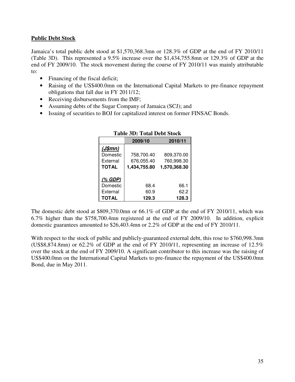#### **Public Debt Stock**

Jamaica's total public debt stood at \$1,570,368.3mn or 128.3% of GDP at the end of FY 2010/11 (Table 3D). This represented a 9.5% increase over the \$1,434,755.8mn or 129.3% of GDP at the end of FY 2009/10. The stock movement during the course of FY 2010/11 was mainly attributable to:

- Financing of the fiscal deficit;
- Raising of the US\$400.0mn on the International Capital Markets to pre-finance repayment obligations that fall due in FY 2011/12;
- Receiving disbursements from the IMF;
- Assuming debts of the Sugar Company of Jamaica (SCJ); and
- Issuing of securities to BOJ for capitalized interest on former FINSAC Bonds.

|              | 2009/10      | 2010/11      |
|--------------|--------------|--------------|
| (J\$mm)      |              |              |
| Domestic     | 758,700.40   | 809,370.00   |
| External     | 676,055.40   | 760,998.30   |
| <b>TOTAL</b> | 1,434,755.80 | 1,570,368.30 |
|              |              |              |
| (% GDP)      |              |              |
| Domestic     | 68.4         | 66.1         |
| External     | 60.9         | 62.2         |
| TOTAL        | 129.3        | 128.3        |

#### **Table 3D: Total Debt Stock**

The domestic debt stood at \$809,370.0mn or 66.1% of GDP at the end of FY 2010/11, which was 6.7% higher than the \$758,700.4mn registered at the end of FY 2009/10. In addition, explicit domestic guarantees amounted to \$26,403.4mn or 2.2% of GDP at the end of FY 2010/11.

With respect to the stock of public and publicly-guaranteed external debt, this rose to \$760,998.3mn (US\$8,874.8mn) or 62.2% of GDP at the end of FY 2010/11, representing an increase of 12.5% over the stock at the end of FY 2009/10. A significant contributor to this increase was the raising of US\$400.0mn on the International Capital Markets to pre-finance the repayment of the US\$400.0mn Bond, due in May 2011.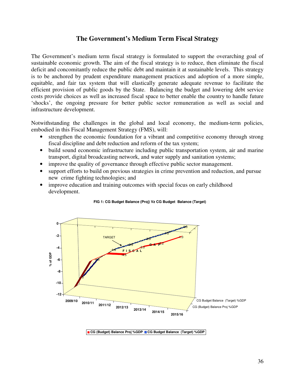#### **The Government's Medium Term Fiscal Strategy**

The Government's medium term fiscal strategy is formulated to support the overarching goal of sustainable economic growth. The aim of the fiscal strategy is to reduce, then eliminate the fiscal deficit and concomitantly reduce the public debt and maintain it at sustainable levels. This strategy is to be anchored by prudent expenditure management practices and adoption of a more simple, equitable, and fair tax system that will elastically generate adequate revenue to facilitate the efficient provision of public goods by the State. Balancing the budget and lowering debt service costs provide choices as well as increased fiscal space to better enable the country to handle future 'shocks', the ongoing pressure for better public sector remuneration as well as social and infrastructure development.

Notwithstanding the challenges in the global and local economy, the medium-term policies, embodied in this Fiscal Management Strategy (FMS), will:

- strengthen the economic foundation for a vibrant and competitive economy through strong fiscal discipline and debt reduction and reform of the tax system;
- build sound economic infrastructure including public transportation system, air and marine transport, digital broadcasting network, and water supply and sanitation systems;
- improve the quality of governance through effective public sector management.
- support efforts to build on previous strategies in crime prevention and reduction, and pursue new crime fighting technologies; and
- improve education and training outcomes with special focus on early childhood development.



#### **FIG 1: CG Budget Balance (Proj) Vz CG Budget Balance (Target)**

**CG (Budget) Balance Proj %GDP <b>ECG Budget Balance (Target) %GDP**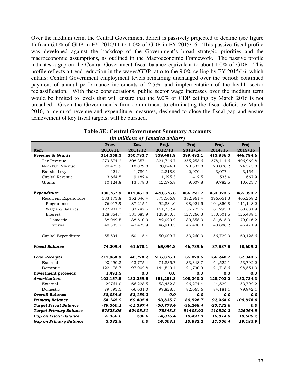Over the medium term, the Central Government deficit is passively projected to decline (see figure 1) from 6.1% of GDP in FY 2010/11 to 1.0% of GDP in FY 2015/16. This passive fiscal profile was developed against the backdrop of the Government's broad strategic priorities and the macroeconomic assumptions, as outlined in the Macroeconomic Framework. The passive profile indicates a gap on the Central Government fiscal balance equivalent to about 1.0% of GDP. This profile reflects a trend reduction in the wages/GDP ratio to the 9.0% ceiling by FY 2015/16, which entails: Central Government employment levels remaining unchanged over the period; continued payment of annual performance increments of 2.5%; and implementation of the health sector reclassification. With these considerations, public sector wage increases over the medium term would be limited to levels that will ensure that the 9.0% of GDP ceiling by March 2016 is not breached. Given the Government's firm commitment to eliminating the fiscal deficit by March 2016, a menu of revenue and expenditure measures, designed to close the fiscal gap and ensure achievement of key fiscal targets, will be pursued.

| <b>Table 3E: Central Government Summary Accounts</b> |
|------------------------------------------------------|
| $(i_n, m)$ is a set Lamaia a dollar $\alpha$         |

|                               |             |             | (in muuons of Jamaica aollars) |             |             |             |
|-------------------------------|-------------|-------------|--------------------------------|-------------|-------------|-------------|
|                               | Prov.       | Est.        | Proj.                          | Proj.       | Proj.       | Proj.       |
| Item                          | 2010/11     | 2011/12     | 2012/13                        | 2013/14     | 2014/15     | 2015/16     |
| Revenue & Grants              | 314,558.5   | 350,783.7   | 358,481.8                      | 389,482.1   | 415,836.0   | 446,784.6   |
| Tax Revenue                   | 279,874.2   | 308,357.1   | 321,746.7                      | 355,253.6   | 378,414.6   | 406,962.8   |
| Non-Tax Revenue               | 20,473.9    | 18,079.8    | 20,044.1                       | 20,837.8    | 23,026.2    | 24,375.8    |
| Bauxite Levy                  | 421.1       | 1,786.1     | 2,818.9                        | 2,970.4     | 3,077.4     | 3,154.4     |
| Capital Revenue               | 3,664.5     | 9,182.4     | 1,295.3                        | 1,412.5     | 1,535.4     | 1,667.9     |
| Grants                        | 10,124.8    | 13,378.3    | 12,576.8                       | 9,007.8     | 9,782.5     | 10,623.7    |
| Expenditure                   | 388,767.9   | 412,461.8   | 423,576.6                      | 436,221.7   | 453,373.5   | 465,393.7   |
| Recurrent Expenditure         | 333,173.8   | 352,046.4   | 373,566.9                      | 382,961.4   | 396,651.3   | 405,268.2   |
| Programmes                    | 76,917.9    | 87,215.1    | 92,884.0                       | 98,921.5    | 104,856.8   | 111,148.2   |
| Wages & Salaries              | 127,901.3   | 133,747.5   | 151,752.4                      | 156,773.6   | 161,293.0   | 168,631.9   |
| Interest                      | 128,354.7   | 131,083.9   | 128,930.5                      | 127,266.3   | 130,501.5   | 125,488.1   |
| Domestic                      | 88,049.5    | 88,610.0    | 82,020.2                       | 80,858.3    | 81,615.3    | 79,016.2    |
| External                      | 40,305.2    | 42,473.9    | 46,910.3                       | 46,408.0    | 48,886.2    | 46,471.9    |
| Capital Expenditure           | 55,594.1    | 60,415.4    | 50,009.7                       | 53,260.3    | 56,722.3    | 60,125.6    |
| <b>Fiscal Balance</b>         | $-74,209.4$ | $-61,678.1$ | $-65,094.8$                    | $-46,739.6$ | $-37,537.5$ | $-18,609.2$ |
| <b>Loan Receipts</b>          | 212,968.9   | 140,778.2   | 216,376.1                      | 155,079.6   | 166,240.7   | 152,343.5   |
| External                      | 90,490.2    | 43,775.4    | 71,835.7                       | 33,348.7    | 44,522.1    | 53,792.2    |
| Domestic                      | 122,478.7   | 97,002.8    | 144,540.4                      | 121,730.9   | 121,718.6   | 98,551.3    |
| <b>Divestment proceeds</b>    | 1,482.5     | 0.0         | 0.0                            | 0.0         | 0.0         | 0.0         |
| Amortization                  | 102,157.5   | 132,259.5   | 151,281.3                      | 108,340.0   | 128,703.2   | 133,734.3   |
| External                      | 22764.0     | 66,228.5    | 53,452.8                       | 26,274.4    | 44,522.1    | 53,792.2    |
| Domestic                      | 79,393.5    | 66,031.0    | 97,828.5                       | 82,065.6    | 84,181.1    | 79,942.1    |
| <b>Overall Balance</b>        | 38,084.5    | $-53,159.3$ | 0.0                            | 0.0         | 0.0         | 0.0         |
| <b>Primary Balance</b>        | 54,145.2    | 69,405.8    | 63,835.7                       | 80,526.7    | 92,964.0    | 106,878.9   |
| <b>Target Fiscal Balance</b>  | $-79,560.1$ | $-61,397.4$ | $-50,778.4$                    | $-36,248.4$ | $-20,722.6$ | 0.0         |
| <b>Target Primary Balance</b> | 57528.05    | 69405.81    | 78343.8                        | 91408.93    | 110520.3    | 126064.9    |
| <b>Gap on Fiscal Balance</b>  | $-5,350.6$  | 280.6       | 14,316.4                       | 10,491.3    | 16,814.9    | 18,609.2    |
| <b>Gap on Primary Balance</b> | 3,382.8     | 0.0         | 14,508.1                       | 10,882.2    | 17,556.4    | 19,185.9    |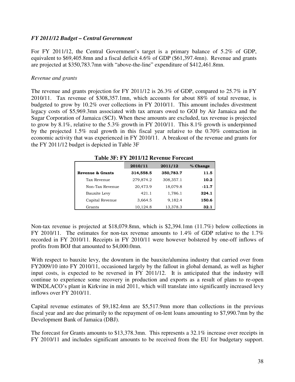#### *FY 2011/12 Budget – Central Government*

For FY 2011/12, the Central Government's target is a primary balance of 5.2% of GDP, equivalent to \$69,405.8mn and a fiscal deficit 4.6% of GDP (\$61,397.4mn). Revenue and grants are projected at \$350,783.7mn with "above-the-line" expenditure of \$412,461.8mn.

#### *Revenue and grants*

The revenue and grants projection for FY 2011/12 is 26.3% of GDP, compared to 25.7% in FY 2010/11. Tax revenue of \$308,357.1mn, which accounts for about 88% of total revenue, is budgeted to grow by 10.2% over collections in FY 2010/11. This amount includes divestment legacy costs of \$5,969.3mn associated with tax arrears owed to GOJ by Air Jamaica and the Sugar Corporation of Jamaica (SCJ). When these amounts are excluded, tax revenue is projected to grow by 8.1%, relative to the 5.3% growth in FY 2010/11. This 8.1% growth is underpinned by the projected 1.5% real growth in this fiscal year relative to the 0.70% contraction in economic activity that was experienced in FY 2010/11. A breakout of the revenue and grants for the FY 2011/12 budget is depicted in Table 3F

|                  | 2010/11   | 2011/12   | % Change |
|------------------|-----------|-----------|----------|
| Revenue & Grants | 314,558.5 | 350,783.7 | 11.5     |
| Tax Revenue      | 279,874.2 | 308,357.1 | 10.2     |
| Non-Tax Revenue  | 20,473.9  | 18,079.8  | $-11.7$  |
| Bauxite Levy     | 421.1     | 1,786.1   | 324.1    |
| Capital Revenue  | 3,664.5   | 9,182.4   | 150.6    |
| Grants           | 10,124.8  | 13,378.3  | 32.1     |

**Table 3F: FY 2011/12 Revenue Forecast** 

Non-tax revenue is projected at \$18,079.8mn, which is \$2,394.1mn (11.7%) below collections in FY 2010/11. The estimates for non-tax revenue amounts to 1.4% of GDP relative to the 1.7% recorded in FY 2010/11. Receipts in FY 2010/11 were however bolstered by one-off inflows of profits from BOJ that amounted to \$4,000.0mn.

With respect to bauxite levy, the downturn in the bauxite/alumina industry that carried over from FY2009/10 into FY 2010/11, occasioned largely by the fallout in global demand, as well as higher input costs, is expected to be reversed in FY 2011/12. It is anticipated that the industry will continue to experience some recovery in production and exports as a result of plans to re-open WINDLACO's plant in Kirkvine in mid 2011, which will translate into significantly increased levy inflows over FY 2010/11.

Capital revenue estimates of \$9,182.4mn are \$5,517.9mn more than collections in the previous fiscal year and are due primarily to the repayment of on-lent loans amounting to \$7,990.7mn by the Development Bank of Jamaica (DBJ).

The forecast for Grants amounts to \$13,378.3mn. This represents a 32.1% increase over receipts in FY 2010/11 and includes significant amounts to be received from the EU for budgetary support.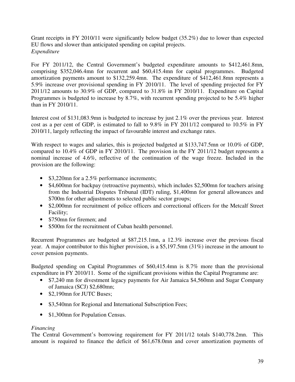Grant receipts in FY 2010/11 were significantly below budget (35.2%) due to lower than expected EU flows and slower than anticipated spending on capital projects. *Expenditure* 

For FY 2011/12, the Central Government's budgeted expenditure amounts to \$412,461.8mn, comprising \$352,046.4mn for recurrent and \$60,415.4mn for capital programmes. Budgeted amortization payments amount to \$132,259.4mn. The expenditure of \$412,461.8mn represents a 5.9% increase over provisional spending in FY 2010/11. The level of spending projected for FY 2011/12 amounts to 30.9% of GDP, compared to 31.8% in FY 2010/11. Expenditure on Capital Programmes is budgeted to increase by 8.7%, with recurrent spending projected to be 5.4% higher than in FY 2010/11.

Interest cost of \$131,083.9mn is budgeted to increase by just 2.1% over the previous year. Interest cost as a per cent of GDP, is estimated to fall to 9.8% in FY 2011/12 compared to 10.5% in FY 2010/11, largely reflecting the impact of favourable interest and exchange rates.

With respect to wages and salaries, this is projected budgeted at \$133,747.5mn or 10.0% of GDP, compared to 10.4% of GDP in FY 2010/11. The provision in the FY 2011/12 budget represents a nominal increase of 4.6%, reflective of the continuation of the wage freeze. Included in the provision are the following:

- \$3,220mn for a 2.5% performance increments;
- \$4,600mn for backpay (retroactive payments), which includes \$2,500mn for teachers arising from the Industrial Disputes Tribunal (IDT) ruling, \$1,400mn for general allowances and \$700m for other adjustments to selected public sector groups;
- \$2,000mn for recruitment of police officers and correctional officers for the Metcalf Street Facility;
- \$750mn for firemen; and
- \$500m for the recruitment of Cuban health personnel.

Recurrent Programmes are budgeted at \$87,215.1mn, a 12.3% increase over the previous fiscal year. A major contributor to this higher provision, is a \$5,197.5mn (31%) increase in the amount to cover pension payments.

Budgeted spending on Capital Programmes of \$60,415.4mn is 8.7% more than the provisional expenditure in FY 2010/11. Some of the significant provisions within the Capital Programme are:

- \$7,240 mn for divestment legacy payments for Air Jamaica \$4,560 mn and Sugar Company of Jamaica (SCJ) \$2,680mn;
- \$2,190mn for JUTC Buses:
- \$3,540mn for Regional and International Subscription Fees;
- \$1,300mn for Population Census.

#### *Financing*

The Central Government's borrowing requirement for FY 2011/12 totals \$140,778.2mn. This amount is required to finance the deficit of \$61,678.0mn and cover amortization payments of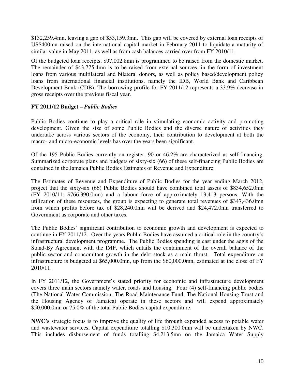\$132,259.4mn, leaving a gap of \$53,159.3mn. This gap will be covered by external loan receipts of US\$400mn raised on the international capital market in February 2011 to liquidate a maturity of similar value in May 2011, as well as from cash balances carried over from FY 2010/11.

Of the budgeted loan receipts, \$97,002.8mn is programmed to be raised from the domestic market. The remainder of \$43,775.4mn is to be raised from external sources, in the form of investment loans from various multilateral and bilateral donors, as well as policy based/development policy loans from international financial institutions, namely the IDB, World Bank and Caribbean Development Bank (CDB). The borrowing profile for FY 2011/12 represents a 33.9% decrease in gross receipts over the previous fiscal year.

#### **FY 2011/12 Budget –** *Public Bodies*

Public Bodies continue to play a critical role in stimulating economic activity and promoting development. Given the size of some Public Bodies and the diverse nature of activities they undertake across various sectors of the economy, their contribution to development at both the macro- and micro-economic levels has over the years been significant.

Of the 195 Public Bodies currently on register, 90 or 46.2% are characterized as self-financing. Summarized corporate plans and budgets of sixty-six (66) of these self-financing Public Bodies are contained in the Jamaica Public Bodies Estimates of Revenue and Expenditure.

The Estimates of Revenue and Expenditure of Public Bodies for the year ending March 2012, project that the sixty-six (66) Public Bodies should have combined total assets of \$834,652.0mn (FY 2010/11: \$766,390.0mn) and a labour force of approximately 13,413 persons. With the utilization of these resources, the group is expecting to generate total revenues of \$347,436.0mn from which profits before tax of \$28,240.0mn will be derived and \$24,472.0mn transferred to Government as corporate and other taxes.

The Public Bodies' significant contribution to economic growth and development is expected to continue in FY 2011/12. Over the years Public Bodies have assumed a critical role in the country's infrastructural development programme. The Public Bodies spending is cast under the aegis of the Stand-By Agreement with the IMF, which entails the containment of the overall balance of the public sector and concomitant growth in the debt stock as a main thrust. Total expenditure on infrastructure is budgeted at \$65,000.0mn, up from the \$60,000.0mn, estimated at the close of FY 2010/11.

In FY 2011/12, the Government's stated priority for economic and infrastructure development covers three main sectors namely water, roads and housing. Four (4) self-financing public bodies (The National Water Commission, The Road Maintenance Fund, The National Housing Trust and the Housing Agency of Jamaica) operate in these sectors and will expend approximately \$50,000.0mn or 75.0% of the total Public Bodies capital expenditure.

**NWC's** strategic focus is to improve the quality of life through expanded access to potable water and wastewater services**.** Capital expenditure totalling \$10,300.0mn will be undertaken by NWC. This includes disbursement of funds totalling \$4,213.5mn on the Jamaica Water Supply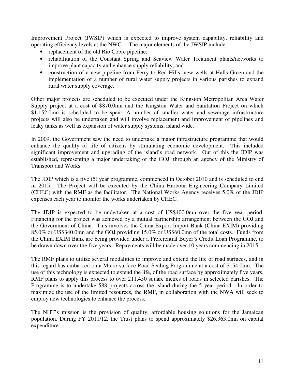Improvement Project (JWSIP) which is expected to improve system capability, reliability and operating efficiency levels at the NWC. The major elements of the JWSIP include:

- replacement of the old Rio Cobre pipeline;
- rehabilitation of the Constant Spring and Seaview Water Treatment plants/networks to improve plant capacity and enhance supply reliability; and
- construction of a new pipeline from Ferry to Red Hills, new wells at Halls Green and the implementation of a number of rural water supply projects in various parishes to expand rural water supply coverage.

Other major projects are scheduled to be executed under the Kingston Metropolitan Area Water Supply project at a cost of \$870.0mn and the Kingston Water and Sanitation Project on which \$1,152.0mn is scheduled to be spent. A number of smaller water and sewerage infrastructure projects will also be undertaken and will involve replacement and improvement of pipelines and leaky tanks as well as expansion of water supply systems, island wide.

In 2009, the Government saw the need to undertake a major infrastructure programme that would enhance the quality of life of citizens by stimulating economic development. This included significant improvement and upgrading of the island's road network. Out of this the JDIP was established, representing a major undertaking of the GOJ, through an agency of the Ministry of Transport and Works.

The JDIP which is a five (5) year programme, commenced in October 2010 and is scheduled to end in 2015. The Project will be executed by the China Harbour Engineering Company Limited (CHEC) with the RMF as the facilitator. The National Works Agency receives 5.0% of the JDIP expenses each year to monitor the works undertaken by CHEC.

The JDIP is expected to be undertaken at a cost of US\$400.0mn over the five year period. Financing for the project was achieved by a mutual partnership arrangement between the GOJ and the Government of China. This involves the China Export Import Bank (China EXIM) providing 85.0% or US\$340.0mn and the GOJ providing 15.0% or US\$60.0mn of the total costs. Funds from the China EXIM Bank are being provided under a Preferential Buyer's Credit Loan Programme, to be drawn down over the five years. Repayments will be made over 10 years commencing in 2015.

The RMF plans to utilize several modalities to improve and extend the life of road surfaces, and in this regard has embarked on a Micro-surface Road Sealing Programme at a cost of \$154.0mn. The use of this technology is expected to extend the life, of the road surface by approximately five years. RMF plans to apply this process to over 211,450 square metres of roads in selected parishes. The Programme is to undertake 588 projects across the island during the 5 year period. In order to maximize the use of the limited resources, the RMF, in collaboration with the NWA will seek to employ new technologies to enhance the process.

The NHT's mission is the provision of quality, affordable housing solutions for the Jamaican population. During FY 2011/12, the Trust plans to spend approximately \$26,363.0mn on capital expenditure.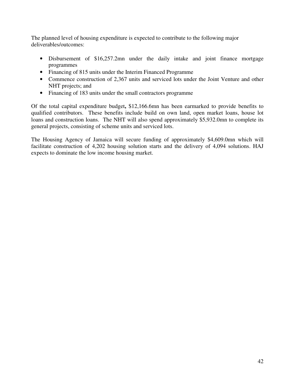The planned level of housing expenditure is expected to contribute to the following major deliverables/outcomes:

- Disbursement of \$16,257.2mn under the daily intake and joint finance mortgage programmes
- Financing of 815 units under the Interim Financed Programme
- Commence construction of 2,367 units and serviced lots under the Joint Venture and other NHT projects; and
- Financing of 183 units under the small contractors programme

Of the total capital expenditure budget**,** \$12,166.6mn has been earmarked to provide benefits to qualified contributors. These benefits include build on own land, open market loans, house lot loans and construction loans. The NHT will also spend approximately \$5,932.0mn to complete its general projects, consisting of scheme units and serviced lots.

The Housing Agency of Jamaica will secure funding of approximately \$4,609.0mn which will facilitate construction of 4,202 housing solution starts and the delivery of 4,094 solutions. HAJ expects to dominate the low income housing market.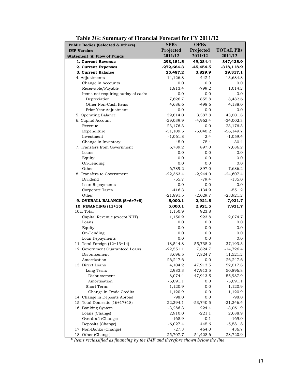| <b>Public Bodies (Selected &amp; Others)</b> | <b>SPBs</b>  | <b>OPBs</b> |                  |
|----------------------------------------------|--------------|-------------|------------------|
| <b>IMF Version</b>                           | Projected    | Projected   | <b>TOTAL PBs</b> |
| <b>Statement 'A' Flow of Funds</b>           | 2011/12      | 2011/12     | 2011/12          |
| 1. Current Revenue                           | 298,151.5    | 49,284.4    | 347,435.9        |
| 2. Current Expenses                          | $-272,664.3$ | $-45,454.5$ | $-318, 118.9$    |
| 3. Current Balance                           | 25,487.2     | 3,829.9     | 29,317.1         |
| 4. Adjustments                               | 14,126.8     | $-442.1$    | 13,684.8         |
| Change in Accounts                           | 0.0          | 0.0         | 0.0              |
| Receivable/Payable                           | 1,813.4      | $-799.2$    | 1,014.2          |
| Items not requiring outlay of cash:          | 0.0          | 0.0         | 0.0              |
| Depreciation                                 | 7,626.7      | 855.8       | 8,482.6          |
| Other Non-Cash Items                         | 4,686.6      | $-498.6$    | 4,188.0          |
| Prior Year Adjustment                        | 0.0          | 0.0         | 0.0              |
| 5. Operating Balance                         | 39,614.0     | 3,387.8     | 43,001.8         |
| 6. Capital Account                           | $-29,039.9$  | $-4,962.4$  | $-34,002.3$      |
| Revenue                                      | 23,176.3     | 0.0         | 23,176.3         |
| Expenditure                                  | $-51,109.5$  | $-5,040.2$  | $-56,149.7$      |
| Investment                                   | $-1,061.8$   | 2.4         | $-1,059.4$       |
| Change in Inventory                          | $-45.0$      | 75.4        | 30.4             |
| 7. Transfers from Government                 | 6,789.2      | 897.0       | 7,686.2          |
| Loans                                        | 0.0          | 0.0         | 0.0              |
| Equity                                       | 0.0          | 0.0         | 0.0              |
| On-Lending                                   | 0.0          | 0.0         | 0.0              |
| Other                                        | 6,789.2      | 897.0       | 7,686.2          |
| 8. Transfers to Government                   | $-22,363.4$  | $-2,244.0$  | $-24,607.4$      |
| Dividend                                     | $-55.7$      | $-79.4$     | $-135.0$         |
| Loan Repayments                              | 0.0          | 0.0         | 0.0              |
| Corporate Taxes                              | $-416.3$     | $-134.9$    | $-551.2$         |
| Other                                        | $-21,891.5$  | $-2,029.7$  | $-23,921.2$      |
| 9. OVERALL BALANCE (5+6+7+8)                 | $-5,000.1$   | $-2,921.5$  | $-7,921.7$       |
| 10. FINANCING (11+15)                        | 5,000.1      | 2,921.5     | 7,921.7          |
| 10a. Total                                   | 1,150.9      | 923.8       |                  |
| Capital Revenue (except NHT)                 | 1,150.9      | 923.8       | 2,074.7          |
| Loans                                        | 0.0          | 0.0         | 0.0              |
| Equity                                       | 0.0          | 0.0         | 0.0              |
| On-Lending                                   | 0.0          | 0.0         | 0.0              |
| Loan Repayments                              | 0.0          | 0.0         | 0.0              |
| 11. Total Foreign (12+13+14)                 | $-18,544.8$  | 55,738.2    | 37,193.3         |
| 12. Government Guaranteed Loans              | $-22,551.1$  | 7,824.7     | $-14,726.4$      |
| Disbursement                                 | 3,696.5      | 7,824.7     | 11,521.2         |
| Amortization                                 | $-26,247.6$  | 0.0         | $-26,247.6$      |
| 13. Direct Loans                             | 4,104.2      | 47,913.5    | 52,017.8         |
| Long Term:                                   | 2,983.3      | 47,913.5    | 50,896.8         |
| Disbursement                                 | 8,074.4      | 47,913.5    | 55,987.9         |
| Amortisation                                 | $-5,091.1$   | 0.0         | $-5,091.1$       |
| Short Term:                                  | 1,120.9      | 0.0         | 1,120.9          |
| Change in Trade Credits                      | 1,120.9      | 0.0         | 1,120.9          |
| 14. Change in Deposits Abroad                | $-98.0$      | 0.0         | $-98.0$          |
| 15. Total Domestic (16+17+18)                | 22,394.1     | $-53,740.5$ | $-31,346.4$      |
| 16. Banking System                           | $-3,286.3$   | 224.4       | $-3,061.9$       |
| Loans (Change)                               | 2,910.0      | $-221.1$    | 2,688.9          |
| Overdraft (Change)                           | $-168.9$     | $-0.1$      | $-169.0$         |
| Deposits (Change)                            | $-6,027.4$   | 445.6       | $-5,581.8$       |
| 17. Non-Banks (Change)                       | $-27.3$      | 464.0       | 436.7            |
| 18. Other (Change)                           | 25,707.7     | $-54,428.6$ | $-28,720.9$      |

**\*** *Items reclassified as financing by the IMF and therefore shown below the line*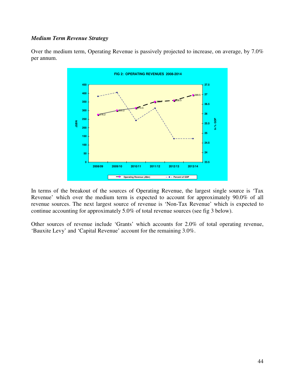#### *Medium Term Revenue Strategy*

Over the medium term, Operating Revenue is passively projected to increase, on average, by 7.0% per annum.



In terms of the breakout of the sources of Operating Revenue, the largest single source is 'Tax Revenue' which over the medium term is expected to account for approximately 90.0% of all revenue sources. The next largest source of revenue is 'Non-Tax Revenue' which is expected to continue accounting for approximately 5.0% of total revenue sources (see fig 3 below).

Other sources of revenue include 'Grants' which accounts for 2.0% of total operating revenue, 'Bauxite Levy' and 'Capital Revenue' account for the remaining 3.0%.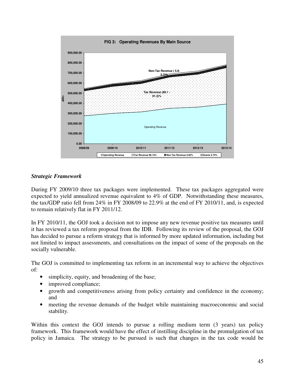

#### *Strategic Framework*

During FY 2009/10 three tax packages were implemented. These tax packages aggregated were expected to yield annualized revenue equivalent to 4% of GDP. Notwithstanding these measures, the tax/GDP ratio fell from 24% in FY 2008/09 to 22.9% at the end of FY 2010/11, and, is expected to remain relatively flat in FY 2011/12.

In FY 2010/11, the GOJ took a decision not to impose any new revenue positive tax measures until it has reviewed a tax reform proposal from the IDB. Following its review of the proposal, the GOJ has decided to pursue a reform strategy that is informed by more updated information, including but not limited to impact assessments, and consultations on the impact of some of the proposals on the socially vulnerable.

The GOJ is committed to implementing tax reform in an incremental way to achieve the objectives of:

- simplicity, equity, and broadening of the base;
- improved compliance;
- growth and competitiveness arising from policy certainty and confidence in the economy; and
- meeting the revenue demands of the budget while maintaining macroeconomic and social stability.

Within this context the GOJ intends to pursue a rolling medium term (3 years) tax policy framework. This framework would have the effect of instilling discipline in the promulgation of tax policy in Jamaica. The strategy to be pursued is such that changes in the tax code would be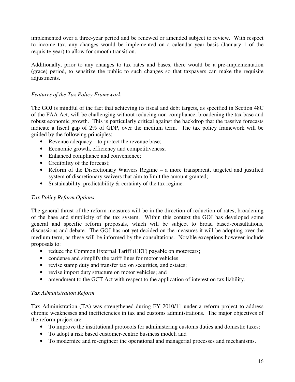implemented over a three-year period and be renewed or amended subject to review. With respect to income tax, any changes would be implemented on a calendar year basis (January 1 of the requisite year) to allow for smooth transition.

Additionally, prior to any changes to tax rates and bases, there would be a pre-implementation (grace) period, to sensitize the public to such changes so that taxpayers can make the requisite adjustments.

#### *Features of the Tax Policy Framework*

The GOJ is mindful of the fact that achieving its fiscal and debt targets, as specified in Section 48C of the FAA Act, will be challenging without reducing non-compliance, broadening the tax base and robust economic growth. This is particularly critical against the backdrop that the passive forecasts indicate a fiscal gap of 2% of GDP, over the medium term. The tax policy framework will be guided by the following principles:

- Revenue adequacy to protect the revenue base;
- Economic growth, efficiency and competitiveness;
- Enhanced compliance and convenience;
- Credibility of the forecast;
- Reform of the Discretionary Waivers Regime a more transparent, targeted and justified system of discretionary waivers that aim to limit the amount granted;
- Sustainability, predictability & certainty of the tax regime.

#### *Tax Policy Reform Options*

The general thrust of the reform measures will be in the direction of reduction of rates, broadening of the base and simplicity of the tax system. Within this context the GOJ has developed some general and specific reform proposals, which will be subject to broad based-consultations, discussions and debate. The GOJ has not yet decided on the measures it will be adopting over the medium term, as these will be informed by the consultations. Notable exceptions however include proposals to:

- reduce the Common External Tariff (CET) payable on motorcars;
- condense and simplify the tariff lines for motor vehicles
- revise stamp duty and transfer tax on securities, and estates;
- revise import duty structure on motor vehicles; and
- amendment to the GCT Act with respect to the application of interest on tax liability.

#### *Tax Administration Reform*

Tax Administration (TA) was strengthened during FY 2010/11 under a reform project to address chronic weaknesses and inefficiencies in tax and customs administrations. The major objectives of the reform project are:

- To improve the institutional protocols for administering customs duties and domestic taxes;
- To adopt a risk based customer-centric business model; and
- To modernize and re-engineer the operational and managerial processes and mechanisms.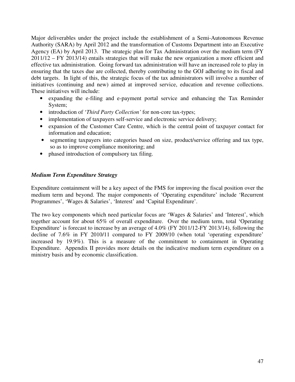Major deliverables under the project include the establishment of a Semi-Autonomous Revenue Authority (SARA) by April 2012 and the transformation of Customs Department into an Executive Agency (EA) by April 2013. The strategic plan for Tax Administration over the medium term (FY 2011/12 – FY 2013/14) entails strategies that will make the new organization a more efficient and effective tax administration. Going forward tax administration will have an increased role to play in ensuring that the taxes due are collected, thereby contributing to the GOJ adhering to its fiscal and debt targets. In light of this, the strategic focus of the tax administrators will involve a number of initiatives (continuing and new) aimed at improved service, education and revenue collections. These initiatives will include:

- expanding the e-filing and e-payment portal service and enhancing the Tax Reminder System;
- introduction of '*Third Party Collection'* for non-core tax-types;
- implementation of taxpayers self-service and electronic service delivery;
- expansion of the Customer Care Centre, which is the central point of taxpayer contact for information and education;
- segmenting taxpayers into categories based on size, product/service offering and tax type, so as to improve compliance monitoring; and
- phased introduction of compulsory tax filing.

#### *Medium Term Expenditure Strategy*

Expenditure containment will be a key aspect of the FMS for improving the fiscal position over the medium term and beyond. The major components of 'Operating expenditure' include 'Recurrent Programmes', 'Wages & Salaries', 'Interest' and 'Capital Expenditure'.

The two key components which need particular focus are 'Wages & Salaries' and 'Interest', which together account for about 65% of overall expenditure. Over the medium term, total 'Operating Expenditure' is forecast to increase by an average of 4.0% (FY 2011/12-FY 2013/14), following the decline of 7.6% in FY 2010/11 compared to FY 2009/10 (when total 'operating expenditure' increased by 19.9%). This is a measure of the commitment to containment in Operating Expenditure. Appendix II provides more details on the indicative medium term expenditure on a ministry basis and by economic classification.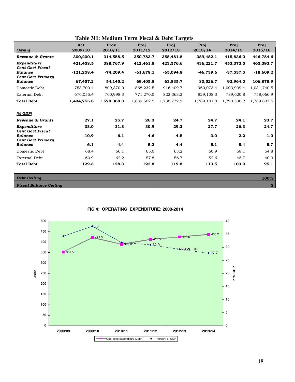|                                            |              |             |             | Table 3H: Medium Term Fiscal & Debt Targets |             |             |             |
|--------------------------------------------|--------------|-------------|-------------|---------------------------------------------|-------------|-------------|-------------|
|                                            | Act          | Prov        | Proj        | Proj                                        | Proj        | Proj        | Proj        |
| (J\$mm)                                    | 2009/10      | 2010/11     | 2011/12     | 2012/13                                     | 2013/14     | 2014/15     | 2015/16     |
| Revenue & Grants                           | 300,200.1    | 314,558.5   | 350,783.7   | 358,481.8                                   | 389,482.1   | 415,836.0   | 446,784.6   |
| Expenditure<br><b>Cent Govt Fiscal</b>     | 421,458.5    | 388,767.9   | 412,461.8   | 423,576.6                                   | 436,221.7   | 453,373.5   | 465,393.7   |
| <b>Balance</b><br><b>Cent Govt Primary</b> | $-121,258.4$ | $-74,209.4$ | $-61,678.1$ | $-65.094.8$                                 | $-46,739.6$ | $-37,537.5$ | $-18,609.2$ |
| <b>Balance</b>                             | 67,457.2     | 54,145.2    | 69,405.8    | 63,835.7                                    | 80,526.7    | 92,964.0    | 106,878.9   |
| Domestic Debt                              | 758,700.4    | 809,370.0   | 868,232.5   | 916,409.7                                   | 960,073.4   | 1,003,909.4 | 1,031,740.5 |
| <b>External Debt</b>                       | 676,055.4    | 760,998.3   | 771,270.0   | 822,363.2                                   | 829,108.3   | 789.620.8   | 758,066.9   |
| <b>Total Debt</b>                          | 1,434,755.8  | 1,570,368.3 | 1,639,502.5 | 1,738,772.9                                 | 1,789,181.8 | 1,793,530.2 | 1,789,807.5 |
| (% GDP)                                    |              |             |             |                                             |             |             |             |
| Revenue & Grants                           | 27.1         | 25.7        | 26.3        | 24.7                                        | 24.7        | 24.1        | 23.7        |
| Expenditure<br><b>Cent Govt Fiscal</b>     | 38.0         | 31.8        | 30.9        | 29.2                                        | 27.7        | 26.3        | 24.7        |
| Balance<br><b>Cent Govt Primary</b>        | $-10.9$      | $-6.1$      | $-4.6$      | $-4.5$                                      | $-3.0$      | $-2.2$      | $-1.0$      |
| <b>Balance</b>                             | 6.1          | 4.4         | 5.2         | 4.4                                         | 5.1         | 5.4         | 5.7         |
| Domestic Debt                              | 68.4         | 66.1        | 65.0        | 63.2                                        | 60.9        | 58.1        | 54.8        |
| <b>External Debt</b>                       | 60.9         | 62.2        | 57.8        | 56.7                                        | 52.6        | 45.7        | 40.3        |
| <b>Total Debt</b>                          | 129.3        | 128.3       | 122.8       | 119.8                                       | 113.5       | 103.9       | 95.1        |
|                                            |              |             |             |                                             |             |             |             |
| <b>Debt Ceiling</b><br>100%                |              |             |             |                                             |             |             |             |
| <b>Fiscal Balance Ceiling</b><br>$\bf{0}$  |              |             |             |                                             |             |             |             |

**FIG 4: OPERATING EXPENDITURE: 2008-2014**

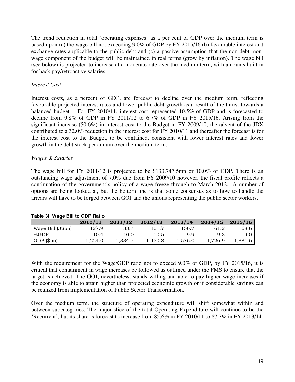The trend reduction in total 'operating expenses' as a per cent of GDP over the medium term is based upon (a) the wage bill not exceeding 9.0% of GDP by FY 2015/16 (b) favourable interest and exchange rates applicable to the public debt and (c) a passive assumption that the non-debt, nonwage component of the budget will be maintained in real terms (grow by inflation). The wage bill (see below) is projected to increase at a moderate rate over the medium term, with amounts built in for back pay/retroactive salaries.

#### *Interest Cost*

Interest costs, as a percent of GDP, are forecast to decline over the medium term, reflecting favourable projected interest rates and lower public debt growth as a result of the thrust towards a balanced budget. For FY 2010/11, interest cost represented 10.5% of GDP and is forecasted to decline from 9.8% of GDP in FY 2011/12 to 6.7% of GDP in FY 2015/16. Arising from the significant increase (50.6%) in interest cost to the Budget in FY 2009/10, the advent of the JDX contributed to a 32.0% reduction in the interest cost for FY 2010/11 and thereafter the forecast is for the interest cost to the Budget, to be contained, consistent with lower interest rates and lower growth in the debt stock per annum over the medium term.

#### *Wages & Salaries*

The wage bill for FY 2011/12 is projected to be \$133,747.5mn or 10.0% of GDP. There is an outstanding wage adjustment of 7.0% due from FY 2009/10 however, the fiscal profile reflects a continuation of the government's policy of a wage freeze through to March 2012. A number of options are being looked at, but the bottom line is that some consensus as to how to handle the arrears will have to be forged between GOJ and the unions representing the public sector workers.

| Table 31: Wage Bill to GDP Ratio |         |         |         |         |         |         |
|----------------------------------|---------|---------|---------|---------|---------|---------|
|                                  | 2010/11 | 2011/12 | 2012/13 | 2013/14 | 2014/15 | 2015/16 |
| Wage Bill (J\$bn)                | 127.9   | 133.7   | 151.7   | 156.7   | 161.2   | 168.6   |
| %GDP                             | 10.4    | 10.0    | 10.5    | 99      | 9.3     | 9.0     |
| GDP(Sbn)                         | 1.224.0 | 1.334.7 | 1.450.8 | 1.576.0 | 1,726.9 | 1.881.6 |

With the requirement for the Wage/GDP ratio not to exceed 9.0% of GDP, by FY 2015/16, it is critical that containment in wage increases be followed as outlined under the FMS to ensure that the target is achieved. The GOJ, nevertheless, stands willing and able to pay higher wage increases if the economy is able to attain higher than projected economic growth or if considerable savings can be realized from implementation of Public Sector Transformation.

Over the medium term, the structure of operating expenditure will shift somewhat within and between subcategories. The major slice of the total Operating Expenditure will continue to be the 'Recurrent', but its share is forecast to increase from 85.6% in FY 2010/11 to 87.7% in FY 2013/14.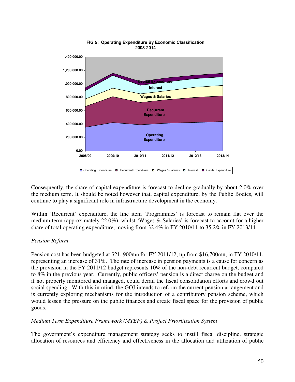

#### **FIG 5: Operating Expenditure By Economic Classification 2008-2014**

Consequently, the share of capital expenditure is forecast to decline gradually by about 2.0% over the medium term. It should be noted however that, capital expenditure, by the Public Bodies, will continue to play a significant role in infrastructure development in the economy.

Within 'Recurrent' expenditure, the line item 'Programmes' is forecast to remain flat over the medium term (approximately 22.0%), whilst 'Wages & Salaries' is forecast to account for a higher share of total operating expenditure, moving from 32.4% in FY 2010/11 to 35.2% in FY 2013/14.

#### *Pension Reform*

Pension cost has been budgeted at \$21, 900mn for FY 2011/12, up from \$16,700mn, in FY 2010/11, representing an increase of 31%. The rate of increase in pension payments is a cause for concern as the provision in the FY 2011/12 budget represents 10% of the non-debt recurrent budget, compared to 8% in the previous year. Currently, public officers' pension is a direct charge on the budget and if not properly monitored and managed, could derail the fiscal consolidation efforts and crowd out social spending. With this in mind, the GOJ intends to reform the current pension arrangement and is currently exploring mechanisms for the introduction of a contributory pension scheme, which would lessen the pressure on the public finances and create fiscal space for the provision of public goods.

#### *Medium Term Expenditure Framework (MTEF) & Project Prioritization System*

The government's expenditure management strategy seeks to instill fiscal discipline, strategic allocation of resources and efficiency and effectiveness in the allocation and utilization of public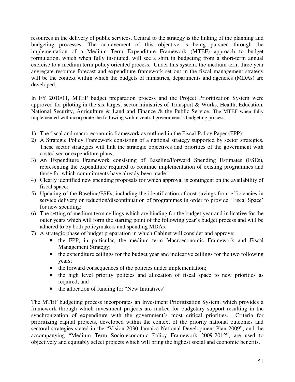resources in the delivery of public services. Central to the strategy is the linking of the planning and budgeting processes. The achievement of this objective is being pursued through the implementation of a Medium Term Expenditure Framework (MTEF) approach to budget formulation, which when fully instituted, will see a shift in budgeting from a short-term annual exercise to a medium term policy oriented process. Under this system, the medium term three year aggregate resource forecast and expenditure framework set out in the fiscal management strategy will be the context within which the budgets of ministries, departments and agencies (MDAs) are developed.

In FY 2010/11, MTEF budget preparation process and the Project Prioritization System were approved for piloting in the six largest sector ministries of Transport & Works, Health, Education, National Security, Agriculture & Land and Finance & the Public Service. The MTEF when fully implemented will incorporate the following within central government's budgeting process:

- 1) The fiscal and macro-economic framework as outlined in the Fiscal Policy Paper (FPP);
- 2) A Strategic Policy Framework consisting of a national strategy supported by sector strategies. These sector strategies will link the strategic objectives and priorities of the government with costed sector expenditure plans;
- 3) An Expenditure Framework consisting of Baseline/Forward Spending Estimates (FSEs), representing the expenditure required to continue implementation of existing programmes and those for which commitments have already been made;
- 4) Clearly identified new spending proposals for which approval is contingent on the availability of fiscal space;
- 5) Updating of the Baseline/FSEs, including the identification of cost savings from efficiencies in service delivery or reduction/discontinuation of programmes in order to provide 'Fiscal Space' for new spending;
- 6) The setting of medium term ceilings which are binding for the budget year and indicative for the outer years which will form the starting point of the following year's budget process and will be adhered to by both policymakers and spending MDAs;
- 7) A strategic phase of budget preparation in which Cabinet will consider and approve:
	- the FPP, in particular, the medium term Macroeconomic Framework and Fiscal Management Strategy;
	- the expenditure ceilings for the budget year and indicative ceilings for the two following years;
	- the forward consequences of the policies under implementation;
	- the high level priority policies and allocation of fiscal space to new priorities as required; and
	- the allocation of funding for "New Initiatives".

The MTEF budgeting process incorporates an Investment Prioritization System, which provides a framework through which investment projects are ranked for budgetary support resulting in the synchronization of expenditure with the government's most critical priorities. Criteria for prioritizing capital projects, developed within the context of the priority national outcomes and sectoral strategies stated in the "Vision 2030 Jamaica National Development Plan 2009", and the accompanying "Medium Term Socio-economic Policy Framework 2009-2012", are used to objectively and equitably select projects which will bring the highest social and economic benefits.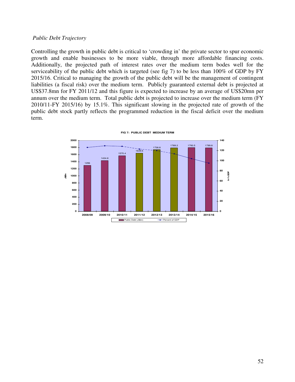#### *Public Debt Trajectory*

Controlling the growth in public debt is critical to 'crowding in' the private sector to spur economic growth and enable businesses to be more viable, through more affordable financing costs. Additionally, the projected path of interest rates over the medium term bodes well for the serviceability of the public debt which is targeted (see fig 7) to be less than 100% of GDP by FY 2015/16. Critical to managing the growth of the public debt will be the management of contingent liabilities (a fiscal risk) over the medium term. Publicly guaranteed external debt is projected at US\$37.8mn for FY 2011/12 and this figure is expected to increase by an average of US\$20mn per annum over the medium term. Total public debt is projected to increase over the medium term (FY 2010/11-FY 2015/16) by 15.1%. This significant slowing in the projected rate of growth of the public debt stock partly reflects the programmed reduction in the fiscal deficit over the medium term.



**FIG 7: PUBLIC DEBT MEDIUM TERM**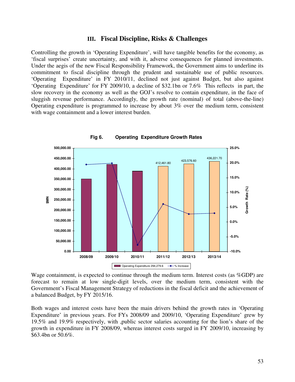#### **III. Fiscal Discipline, Risks & Challenges**

Controlling the growth in 'Operating Expenditure', will have tangible benefits for the economy, as 'fiscal surprises' create uncertainty, and with it, adverse consequences for planned investments. Under the aegis of the new Fiscal Responsibility Framework, the Government aims to underline its commitment to fiscal discipline through the prudent and sustainable use of public resources. 'Operating Expenditure' in FY 2010/11, declined not just against Budget, but also against 'Operating Expenditure' for FY 2009/10, a decline of \$32.1bn or 7.6% This reflects in part, the slow recovery in the economy as well as the GOJ's resolve to contain expenditure, in the face of sluggish revenue performance. Accordingly, the growth rate (nominal) of total (above-the-line) Operating expenditure is programmed to increase by about 3% over the medium term, consistent with wage containment and a lower interest burden.



**Fig 6. Operating Expenditure Growth Rates** 

Wage containment, is expected to continue through the medium term. Interest costs (as %GDP) are forecast to remain at low single-digit levels, over the medium term, consistent with the Government's Fiscal Management Strategy of reductions in the fiscal deficit and the achievement of a balanced Budget, by FY 2015/16.

Both wages and interest costs have been the main drivers behind the growth rates in 'Operating Expenditure' in previous years. For FYs 2008/09 and 2009/10, 'Operating Expenditure' grew by 19.5% and 19.9% respectively, with ,public sector salaries accounting for the lion's share of the growth in expenditure in FY 2008/09, whereas interest costs surged in FY 2009/10, increasing by \$63.4bn or 50.6%.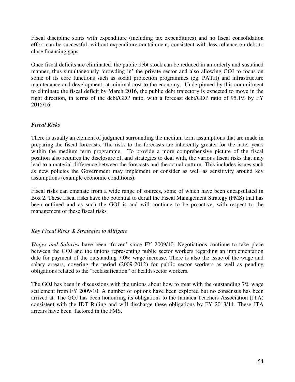Fiscal discipline starts with expenditure (including tax expenditures) and no fiscal consolidation effort can be successful, without expenditure containment, consistent with less reliance on debt to close financing gaps.

Once fiscal deficits are eliminated, the public debt stock can be reduced in an orderly and sustained manner, thus simultaneously 'crowding in' the private sector and also allowing GOJ to focus on some of its core functions such as social protection programmes (eg. PATH) and infrastructure maintenance and development, at minimal cost to the economy. Underpinned by this commitment to eliminate the fiscal deficit by March 2016, the public debt trajectory is expected to move in the right direction, in terms of the debt/GDP ratio, with a forecast debt/GDP ratio of 95.1% by FY 2015/16.

#### *Fiscal Risks*

There is usually an element of judgment surrounding the medium term assumptions that are made in preparing the fiscal forecasts. The risks to the forecasts are inherently greater for the latter years within the medium term programme. To provide a more comprehensive picture of the fiscal position also requires the disclosure of, and strategies to deal with, the various fiscal risks that may lead to a material difference between the forecasts and the actual outturn. This includes issues such as new policies the Government may implement or consider as well as sensitivity around key assumptions (example economic conditions).

Fiscal risks can emanate from a wide range of sources, some of which have been encapsulated in Box 2. These fiscal risks have the potential to derail the Fiscal Management Strategy (FMS) that has been outlined and as such the GOJ is and will continue to be proactive, with respect to the management of these fiscal risks

#### *Key Fiscal Risks & Strategies to Mitigate*

*Wages and Salaries* have been 'frozen' since FY 2009/10. Negotiations continue to take place between the GOJ and the unions representing public sector workers regarding an implementation date for payment of the outstanding 7.0% wage increase. There is also the issue of the wage and salary arrears, covering the period (2009-2012) for public sector workers as well as pending obligations related to the "reclassification" of health sector workers.

The GOJ has been in discussions with the unions about how to treat with the outstanding 7% wage settlement from FY 2009/10. A number of options have been explored but no consensus has been arrived at. The GOJ has been honouring its obligations to the Jamaica Teachers Association (JTA) consistent with the IDT Ruling and will discharge these obligations by FY 2013/14. These JTA arrears have been factored in the FMS.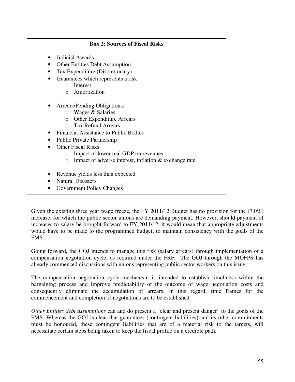| <b>Box 2: Sources of Fiscal Risks</b>                                |
|----------------------------------------------------------------------|
| Judicial Awards                                                      |
| <b>Other Entities Debt Assumption</b>                                |
| Tax Expenditure (Discretionary)                                      |
| Guarantees which represents a risk:                                  |
| Interest<br>$\bigcirc$                                               |
| Amortization<br>$\cap$                                               |
| Arrears/Pending Obligations:                                         |
| Wages & Salaries<br>$\circ$                                          |
| <b>Other Expenditure Arrears</b><br>$\circ$                          |
| <b>Tax Refund Arrears</b>                                            |
| <b>Financial Assistance to Public Bodies</b>                         |
| <b>Public Private Partnership</b>                                    |
| <b>Other Fiscal Risks:</b>                                           |
| Impact of lower real GDP on revenues<br>$\bigcirc$                   |
| Impact of adverse interest, inflation $\&$ exchange rate<br>$\Omega$ |
| Revenue yields less than expected                                    |
| <b>Natural Disasters</b>                                             |
| <b>Government Policy Changes</b>                                     |

Given the existing three year wage freeze, the FY 2011/12 Budget has no provision for the (7.0%) increase, for which the public sector unions are demanding payment. However, should payment of increases to salary be brought forward to FY 2011/12, it would mean that appropriate adjustments would have to be made to the programmed budget, to maintain consistency with the goals of the FMS.

Going forward, the GOJ intends to manage this risk (salary arrears) through implementation of a compensation negotiation cycle, as required under the FRF. The GOJ through the MOFPS has already commenced discussions with unions representing public sector workers on this issue.

The compensation negotiation cycle mechanism is intended to establish timeliness within the bargaining process and improve predictability of the outcome of wage negotiation costs and consequently eliminate the accumulation of arrears. In this regard, time frames for the commencement and completion of negotiations are to be established.

*Other Entities debt assumptions* can and do present a "clear and present danger" to the goals of the FMS. Whereas the GOJ is clear that guarantees (contingent liabilities) and its other commitments must be honoured, these contingent liabilities that are of a material risk to the targets, will necessitate certain steps being taken to keep the fiscal profile on a credible path.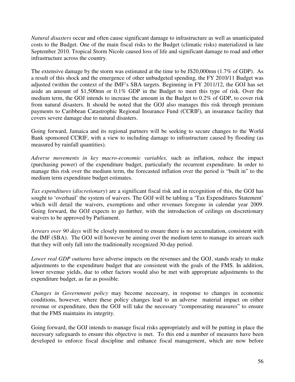*Natural disasters* occur and often cause significant damage to infrastructure as well as unanticipated costs to the Budget. One of the main fiscal risks to the Budget (climatic risks) materialized in late September 2010. Tropical Storm Nicole caused loss of life and significant damage to road and other infrastructure across the country.

The extensive damage by the storm was estimated at the time to be J\$20,000mn (1.7% of GDP). As a result of this shock and the emergence of other unbudgeted spending, the FY 2010/11 Budget was adjusted (within the context of the IMF's SBA targets. Beginning in FY 2011/12, the GOJ has set aside an amount of \$1,500mn or 0.1% GDP in the Budget to meet this type of risk. Over the medium term, the GOJ intends to increase the amount in the Budget to 0.2% of GDP, to cover risk from natural disasters. It should be noted that the GOJ also manages this risk through premium payments to Caribbean Catastrophic Regional Insurance Fund (CCRIF), an insurance facility that covers severe damage due to natural disasters.

Going forward, Jamaica and its regional partners will be seeking to secure changes to the World Bank sponsored CCRIF, with a view to including damage to infrastructure caused by flooding (as measured by rainfall quantities).

*Adverse movements in key macro-economic variables,* such as inflation, reduce the impact (purchasing power) of the expenditure budget, particularly the recurrent expenditure. In order to manage this risk over the medium term, the forecasted inflation over the period is "built in" to the medium term expenditure budget estimates.

*Tax expenditures* (*discretionary*) are a significant fiscal risk and in recognition of this, the GOJ has sought to 'overhaul' the system of waivers. The GOJ will be tabling a 'Tax Expenditures Statement' which will detail the waivers, exemptions and other revenues foregone in calendar year 2009. Going forward, the GOJ expects to go further, with the introduction of ceilings on discretionary waivers to be approved by Parliament.

*Arrears over 90 days* will be closely monitored to ensure there is no accumulation, consistent with the IMF (SBA). The GOJ will however be aiming over the medium term to manage its arrears such that they will only fall into the traditionally recognized 30-day period.

*Lower real GDP outturns* have adverse impacts on the revenues and the GOJ, stands ready to make adjustments to the expenditure budget that are consistent with the goals of the FMS. In addition, lower revenue yields, due to other factors would also be met with appropriate adjustments to the expenditure budget, as far as possible.

*Changes in Government policy* may become necessary, in response to changes in economic conditions, however, where these policy changes lead to an adverse material impact on either revenue or expenditure, then the GOJ will take the necessary "compensating measures" to ensure that the FMS maintains its integrity.

Going forward, the GOJ intends to manage fiscal risks appropriately and will be putting in place the necessary safeguards to ensure this objective is met. To this end a number of measures have been developed to enforce fiscal discipline and enhance fiscal management, which are now before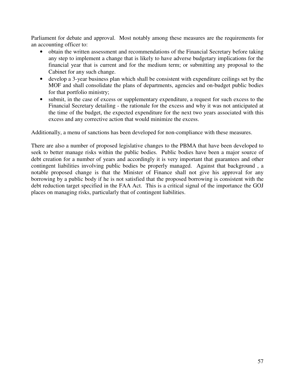Parliament for debate and approval. Most notably among these measures are the requirements for an accounting officer to:

- obtain the written assessment and recommendations of the Financial Secretary before taking any step to implement a change that is likely to have adverse budgetary implications for the financial year that is current and for the medium term; or submitting any proposal to the Cabinet for any such change.
- develop a 3-year business plan which shall be consistent with expenditure ceilings set by the MOF and shall consolidate the plans of departments, agencies and on-budget public bodies for that portfolio ministry;
- submit, in the case of excess or supplementary expenditure, a request for such excess to the Financial Secretary detailing - the rationale for the excess and why it was not anticipated at the time of the budget, the expected expenditure for the next two years associated with this excess and any corrective action that would minimize the excess.

Additionally, a menu of sanctions has been developed for non-compliance with these measures.

There are also a number of proposed legislative changes to the PBMA that have been developed to seek to better manage risks within the public bodies. Public bodies have been a major source of debt creation for a number of years and accordingly it is very important that guarantees and other contingent liabilities involving public bodies be properly managed. Against that background , a notable proposed change is that the Minister of Finance shall not give his approval for any borrowing by a public body if he is not satisfied that the proposed borrowing is consistent with the debt reduction target specified in the FAA Act. This is a critical signal of the importance the GOJ places on managing risks, particularly that of contingent liabilities.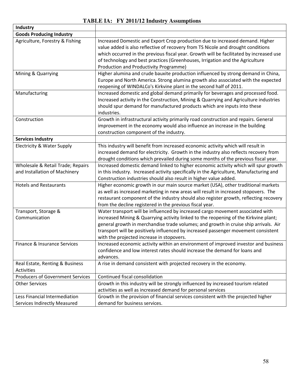# **TABLE IA: FY 2011/12 Industry Assumptions**

| <b>Industry</b>                                                    |                                                                                                                                                                                                                                                                                                                                                                                                   |
|--------------------------------------------------------------------|---------------------------------------------------------------------------------------------------------------------------------------------------------------------------------------------------------------------------------------------------------------------------------------------------------------------------------------------------------------------------------------------------|
| <b>Goods Producing Industry</b>                                    |                                                                                                                                                                                                                                                                                                                                                                                                   |
| Agriculture, Forestry & Fishing                                    | Increased Domestic and Export Crop production due to increased demand. Higher<br>value added is also reflective of recovery from TS Nicole and drought conditions<br>which occurred in the previous fiscal year. Growth will be facilitated by increased use<br>of technology and best practices (Greenhouses, Irrigation and the Agriculture<br>Production and Productivity Programme)           |
| Mining & Quarrying                                                 | Higher alumina and crude bauxite production influenced by strong demand in China,<br>Europe and North America. Strong alumina growth also associated with the expected<br>reopening of WINDALCo's Kirkvine plant in the second half of 2011.                                                                                                                                                      |
| Manufacturing                                                      | Increased domestic and global demand primarily for beverages and processed food.<br>Increased activity in the Construction, Mining & Quarrying and Agriculture industries<br>should spur demand for manufactured products which are inputs into these<br>industries.                                                                                                                              |
| Construction                                                       | Growth in infrastructural activity primarily road construction and repairs. General<br>improvement in the economy would also influence an increase in the building<br>construction component of the industry.                                                                                                                                                                                     |
| <b>Services Industry</b>                                           |                                                                                                                                                                                                                                                                                                                                                                                                   |
| Electricity & Water Supply                                         | This industry will benefit from increased economic activity which will result in<br>increased demand for electricity. Growth in the industry also reflects recovery from<br>drought conditions which prevailed during some months of the previous fiscal year.                                                                                                                                    |
| Wholesale & Retail Trade; Repairs<br>and Installation of Machinery | Increased domestic demand linked to higher economic activity which will spur growth<br>in this industry. Increased activity specifically in the Agriculture, Manufacturing and<br>Construction industries should also result in higher value added.                                                                                                                                               |
| <b>Hotels and Restaurants</b>                                      | Higher economic growth in our main source market (USA), other traditional markets<br>as well as increased marketing in new areas will result in increased stopovers. The<br>restaurant component of the industry should also register growth, reflecting recovery<br>from the decline registered in the previous fiscal year.                                                                     |
| Transport, Storage &<br>Communication                              | Water transport will be influenced by increased cargo movement associated with<br>increased Mining & Quarrying activity linked to the reopening of the Kirkvine plant;<br>general growth in merchandise trade volumes; and growth in cruise ship arrivals. Air<br>transport will be positively influenced by increased passenger movement consistent<br>with the projected increase in stopovers. |
| Finance & Insurance Services                                       | Increased economic activity within an environment of improved investor and business<br>confidence and low interest rates should increase the demand for loans and<br>advances.                                                                                                                                                                                                                    |
| Real Estate, Renting & Business<br>Activities                      | A rise in demand consistent with projected recovery in the economy.                                                                                                                                                                                                                                                                                                                               |
| <b>Producers of Government Services</b>                            | Continued fiscal consolidation                                                                                                                                                                                                                                                                                                                                                                    |
| <b>Other Services</b>                                              | Growth in this industry will be strongly influenced by increased tourism related<br>activities as well as increased demand for personal services                                                                                                                                                                                                                                                  |
| Less Financial Intermediation<br>Services Indirectly Measured      | Growth in the provision of financial services consistent with the projected higher<br>demand for business services.                                                                                                                                                                                                                                                                               |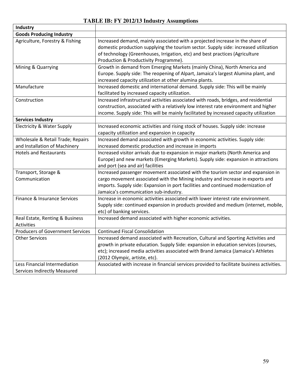### **TABLE IB: FY 2012/13 Industry Assumptions**

| Industry                                |                                                                                            |
|-----------------------------------------|--------------------------------------------------------------------------------------------|
| <b>Goods Producing Industry</b>         |                                                                                            |
| Agriculture, Forestry & Fishing         | Increased demand, mainly associated with a projected increase in the share of              |
|                                         | domestic production supplying the tourism sector. Supply side: increased utilization       |
|                                         | of technology (Greenhouses, Irrigation, etc) and best practices (Agriculture               |
|                                         | Production & Productivity Programme).                                                      |
| Mining & Quarrying                      | Growth in demand from Emerging Markets (mainly China), North America and                   |
|                                         | Europe. Supply side: The reopening of Alpart, Jamaica's largest Alumina plant, and         |
|                                         | increased capacity utilization at other alumina plants.                                    |
| Manufacture                             | Increased domestic and international demand. Supply side: This will be mainly              |
|                                         | facilitated by increased capacity utilization.                                             |
| Construction                            | Increased infrastructural activities associated with roads, bridges, and residential       |
|                                         | construction, associated with a relatively low interest rate environment and higher        |
|                                         | income. Supply side: This will be mainly facilitated by increased capacity utilization     |
| <b>Services Industry</b>                |                                                                                            |
| Electricity & Water Supply              | Increased economic activities and rising stock of houses. Supply side: increase            |
|                                         | capacity utilization and expansion in capacity                                             |
| Wholesale & Retail Trade; Repairs       | Increased demand associated with growth in economic activities. Supply side:               |
| and Installation of Machinery           | increased domestic production and increase in imports                                      |
| <b>Hotels and Restaurants</b>           | Increased visitor arrivals due to expansion in major markets (North America and            |
|                                         | Europe) and new markets (Emerging Markets). Supply side: expansion in attractions          |
|                                         | and port (sea and air) facilities                                                          |
| Transport, Storage &                    | Increased passenger movement associated with the tourism sector and expansion in           |
| Communication                           | cargo movement associated with the Mining industry and increase in exports and             |
|                                         | imports. Supply side: Expansion in port facilities and continued modernization of          |
|                                         | Jamaica's communication sub-industry.                                                      |
| Finance & Insurance Services            | Increase in economic activities associated with lower interest rate environment.           |
|                                         | Supply side: continued expansion in products provided and medium (internet, mobile,        |
|                                         | etc) of banking services.                                                                  |
| Real Estate, Renting & Business         | Increased demand associated with higher economic activities.                               |
| <b>Activities</b>                       |                                                                                            |
| <b>Producers of Government Services</b> | <b>Continued Fiscal Consolidation</b>                                                      |
| <b>Other Services</b>                   | Increased demand associated with Recreation, Cultural and Sporting Activities and          |
|                                         | growth in private education. Supply Side: expansion in education services (courses,        |
|                                         | etc); increased media activities associated with Brand Jamaica (Jamaica's Athletes         |
|                                         | (2012 Olympic, artiste, etc).                                                              |
| Less Financial Intermediation           | Associated with increase in financial services provided to facilitate business activities. |
| <b>Services Indirectly Measured</b>     |                                                                                            |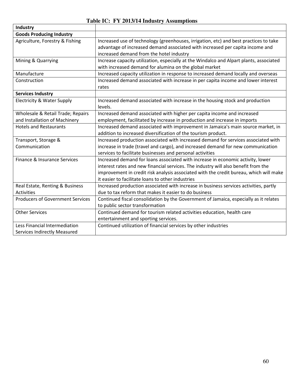# **Table IC: FY 2013/14 Industry Assumptions**

| Industry                                |                                                                                                                                                                                                                                                                                                                      |
|-----------------------------------------|----------------------------------------------------------------------------------------------------------------------------------------------------------------------------------------------------------------------------------------------------------------------------------------------------------------------|
| <b>Goods Producing Industry</b>         |                                                                                                                                                                                                                                                                                                                      |
| Agriculture, Forestry & Fishing         | Increased use of technology (greenhouses, irrigation, etc) and best practices to take<br>advantage of increased demand associated with increased per capita income and<br>increased demand from the hotel industry                                                                                                   |
| Mining & Quarrying                      | Increase capacity utilization, especially at the Windalco and Alpart plants, associated<br>with increased demand for alumina on the global market                                                                                                                                                                    |
| Manufacture                             | Increased capacity utilization in response to increased demand locally and overseas                                                                                                                                                                                                                                  |
| Construction                            | Increased demand associated with increase in per capita income and lower interest<br>rates                                                                                                                                                                                                                           |
| <b>Services Industry</b>                |                                                                                                                                                                                                                                                                                                                      |
| Electricity & Water Supply              | Increased demand associated with increase in the housing stock and production<br>levels.                                                                                                                                                                                                                             |
| Wholesale & Retail Trade; Repairs       | Increased demand associated with higher per capita income and increased                                                                                                                                                                                                                                              |
| and Installation of Machinery           | employment, facilitated by increase in production and increase in imports                                                                                                                                                                                                                                            |
| <b>Hotels and Restaurants</b>           | Increased demand associated with improvement in Jamaica's main source market, in                                                                                                                                                                                                                                     |
|                                         | addition to increased diversification of the tourism product.                                                                                                                                                                                                                                                        |
| Transport, Storage &                    | Increased production associated with increased demand for services associated with                                                                                                                                                                                                                                   |
| Communication                           | increase in trade (travel and cargo), and increased demand for new communication<br>services to facilitate businesses and personal activities                                                                                                                                                                        |
| Finance & Insurance Services            | Increased demand for loans associated with increase in economic activity, lower<br>interest rates and new financial services. The industry will also benefit from the<br>improvement in credit risk analysis associated with the credit bureau, which will make<br>it easier to facilitate loans to other industries |
| Real Estate, Renting & Business         | Increased production associated with increase in business services activities, partly                                                                                                                                                                                                                                |
| Activities                              | due to tax reform that makes it easier to do business                                                                                                                                                                                                                                                                |
| <b>Producers of Government Services</b> | Continued fiscal consolidation by the Government of Jamaica, especially as it relates                                                                                                                                                                                                                                |
|                                         | to public sector transformation                                                                                                                                                                                                                                                                                      |
| <b>Other Services</b>                   | Continued demand for tourism related activities education, health care                                                                                                                                                                                                                                               |
|                                         | entertainment and sporting services.                                                                                                                                                                                                                                                                                 |
| Less Financial Intermediation           | Continued utilization of financial services by other industries                                                                                                                                                                                                                                                      |
| <b>Services Indirectly Measured</b>     |                                                                                                                                                                                                                                                                                                                      |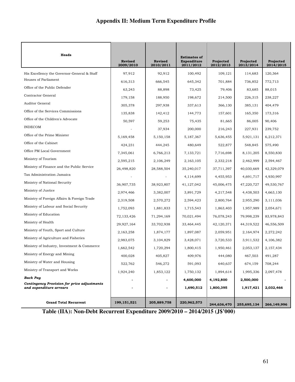# **Appendix II: Medium Term Expenditure Profile**

| Heads                                                                  | <b>Revised</b><br>2009/2010 | <b>Revised</b> | <b>Estimates of</b><br>Expenditure | Projected<br>2012/2013 | Projected<br>2013/2014 | Projected<br>2014/2015 |
|------------------------------------------------------------------------|-----------------------------|----------------|------------------------------------|------------------------|------------------------|------------------------|
|                                                                        |                             | 2010/2011      | 2011/2012                          |                        |                        |                        |
| His Excellency the Governor-General & Staff<br>Houses of Parliament    | 97,912                      | 92,912         | 100,492                            | 109,121                | 114,683                | 120,364                |
| Office of the Public Defender                                          | 616,313                     | 666,545        | 645,342                            | 701,884                | 736,852                | 772,713                |
| Contractor General                                                     | 63,243                      | 88,898         | 73,425                             | 79,406                 | 83,685                 | 88,015                 |
| Auditor General                                                        | 179,158                     | 188,950        | 198,672                            | 214,500                | 226,315                | 238,227                |
| Office of the Services Commissions                                     | 305,378                     | 297,938        | 337,613                            | 366,130                | 385,131                | 404,479                |
|                                                                        | 135,838                     | 142,412        | 144,773                            | 157,601                | 165,350                | 173,316                |
| Office of the Children's Advocate                                      | 50,597                      | 59,253         | 75,435                             | 81,665                 | 86,005                 | 90,406                 |
| <b>INDECOM</b>                                                         |                             | 37,934         | 200,000                            | 216,243                | 227,931                | 239,752                |
| Office of the Prime Minister                                           | 5,169,458                   | 5,150,158      | 5,187,367                          | 5,636,455              | 5,921,131              | 6,212,371              |
| Office of the Cabinet                                                  | 424,231                     | 444,245        | 480,649                            | 522,877                | 548,845                | 575,490                |
| Office PM Local Government                                             | 7,345,061                   | 6,766,213      | 7,133,721                          | 7,716,698              | 8,131,205              | 8,550,830              |
| Ministry of Tourism                                                    | 2,595,215                   | 2,106,249      | 2,163,105                          | 2,332,218              | 2,462,999              | 2,594,467              |
| Ministry of Finance and the Public Service                             | 26,498,820                  | 28,588,504     | 35,240,017                         | 37,711,397             | 40,030,669             | 42,329,079             |
| Tax Administration Jamaica                                             |                             |                | 4,114,699                          | 4,455,953              | 4,691,717              | 4,930,997              |
| Ministry of National Security                                          | 36,907,735                  | 38,923,807     | 41,127,042                         | 45,006,475             | 47,220,727             | 49,530,767             |
| Ministry of Justice                                                    | 2,974,466                   | 3,382,007      | 3,891,729                          | 4,217,548              | 4,438,503              | 4,663,130              |
| Ministry of Foreign Affairs & Foreign Trade                            | 2,319,508                   | 2,570,272      | 2,594,423                          | 2,800,764              | 2,955,290              | 3,111,036              |
| Ministry of Labour and Social Security                                 | 1,752,093                   | 1,881,833      | 1,715,543                          | 1,863,403              | 1,957,989              | 2,054,671              |
| Ministry of Education                                                  | 72,133,426                  | 71,294,169     | 70,021,494                         | 76,078,243             | 79,998,239             | 83,978,843             |
| Ministry of Health                                                     | 29,927,164                  | 33,702,938     | 33,464,445                         | 42,120,371             | 44,319,522             | 46,556,509             |
| Ministry of Youth, Sport and Culture                                   | 2,163,258                   | 1,874,177      | 1,897,087                          | 2,059,951              | 2,164,974              | 2,272,242              |
| Ministry of Agriculture and Fisheries                                  | 2,983,075                   | 3,104,829      | 3,428,071                          | 3,720,533              | 3,911,532              | 4,106,382              |
| Ministry of Industry, Investment & Commerce                            | 1,662,542                   | 1,720,294      | 1,800,415                          | 1,950,461              | 2,053,137              | 2,157,434              |
| Ministry of Energy and Mining                                          | 400,028                     | 405,827        | 409,976                            | 444,080                | 467,503                | 491,287                |
| Ministry of Water and Housing                                          | 522,762                     | 546,272        | 591,093                            | 640,637                | 674,159                | 708,244                |
| Ministry of Transport and Works                                        | 1,924,240                   | 1,853,122      | 1,750,132                          | 1,894,614              | 1,995,336              | 2,097,478              |
| <b>Back Pay</b>                                                        |                             |                | 4,600,000                          | 4,192,800              | 2,500,000              |                        |
| Contingency Provision for price adjustments<br>and expenditure arrears |                             |                | 1,690,512                          | 1,800,395              | 1,917,421              | 2,032,466              |
| <b>Grand Total Recurrent</b>                                           | 199, 151, 521               | 205,889,758    | 220,962,573                        | 244,636,470            | 255,695,134            | 266,149,996            |

**Table (IIA): Non-Debt Recurrent Expenditure 2009/2010 – 2014/2015 (J\$'000)**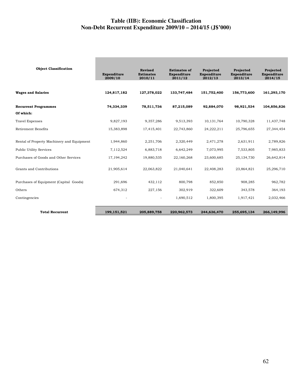#### **Table (IIB): Economic Classification Non-Debt Recurrent Expenditure 2009/10 – 2014/15 (J\$'000)**

**College** 

| <b>Object Classification</b>               | Expenditure<br>2009/10 | <b>Revised</b><br><b>Estimates</b><br>2010/11 | <b>Estimates of</b><br>Expenditure<br>2011/12 | Projected<br>Expenditure<br>2012/13 | Projected<br>Expenditure<br>2013/14 | Projected<br>Expenditure<br>2014/15 |
|--------------------------------------------|------------------------|-----------------------------------------------|-----------------------------------------------|-------------------------------------|-------------------------------------|-------------------------------------|
|                                            |                        |                                               |                                               |                                     |                                     |                                     |
| <b>Wages and Salaries</b>                  | 124,817,182            | 127,378,022                                   | 133,747,484                                   | 151,752,400                         | 156,773,600                         | 161,293,170                         |
| <b>Recurrent Programmes</b>                | 74,334,339             | 78,511,736                                    | 87,215,089                                    | 92,884,070                          | 98,921,534                          | 104,856,826                         |
| Of which:                                  |                        |                                               |                                               |                                     |                                     |                                     |
| <b>Travel Expenses</b>                     | 9,827,193              | 9,357,286                                     | 9,513,393                                     | 10,131,764                          | 10,790,328                          | 11,437,748                          |
| <b>Retirement Benefits</b>                 | 15,383,898             | 17,415,401                                    | 22,743,860                                    | 24,222,211                          | 25,796,655                          | 27,344,454                          |
| Rental of Property Machinery and Equipment | 1,944,860              | 2,251,706                                     | 2,320,449                                     | 2,471,278                           | 2,631,911                           | 2,789,826                           |
| <b>Public Utility Services</b>             | 7,112,524              | 6,883,718                                     | 6,642,249                                     | 7,073,995                           | 7,533,805                           | 7,985,833                           |
| Purchases of Goods and Other Services      | 17, 194, 242           | 19,880,535                                    | 22,160,268                                    | 23,600,685                          | 25,134,730                          | 26,642,814                          |
| Grants and Contributions                   | 21,905,614             | 22,063,822                                    | 21,040,641                                    | 22,408,283                          | 23,864,821                          | 25,296,710                          |
| Purchases of Equipment (Capital Goods)     | 291,696                | 432,112                                       | 800,798                                       | 852,850                             | 908,285                             | 962,782                             |
| Others                                     | 674,312                | 227,156                                       | 302,919                                       | 322,609                             | 343,578                             | 364,193                             |
| Contingencies                              |                        | $\overline{a}$                                | 1,690,512                                     | 1,800,395                           | 1,917,421                           | 2,032,466                           |
| <b>Total Recurrent</b>                     | 199.151.521            | 205,889,758                                   | 220.962.573                                   | 244.636.470                         | 255,695,134                         | 266.149.996                         |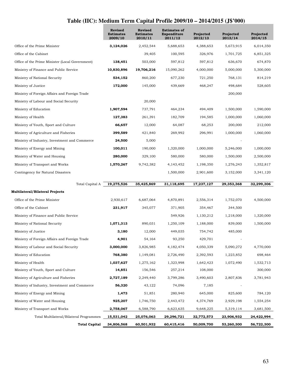# **Table (IIC): Medium Term Capital Profile 2009/10 – 2014/2015 (J\$'000)**

|                                                 | Revised<br><b>Estimates</b><br>2009/10 | <b>Revised</b><br><b>Estimates</b><br>2010/11 | <b>Estimates of</b><br>Expenditure<br>2011/12 | Projected<br>2012/13 | Projected<br>2013/14 | Projected<br>2014/15 |
|-------------------------------------------------|----------------------------------------|-----------------------------------------------|-----------------------------------------------|----------------------|----------------------|----------------------|
| Office of the Prime Minister                    | 3,124,026                              | 2,452,544                                     | 5,688,653                                     | 4,388,653            | 5,673,915            | 6,014,350            |
| Office of the Cabinet                           |                                        | 39,405                                        | 100,595                                       | 326,976              | 1.701.725            | 6,851,325            |
| Office of the Prime Minister (Local Government) | 138,451                                | 503,000                                       | 597,812                                       | 597,812              | 636,670              | 674,870              |
| Ministry of Finance and Public Service          | 10,830,896                             | 19,706,216                                    | 15,090,262                                    | 4,000,000            | 5,000,000            | 5,300,000            |
| Ministry of National Security                   | 534,152                                | 860,200                                       | 677,230                                       | 721,250              | 768,131              | 814,219              |
| Ministry of Justice                             | 172,000                                | 145,000                                       | 439,669                                       | 468,247              | 498,684              | 528,605              |
| Ministry of Foreign Affairs and Foreign Trade   |                                        |                                               |                                               |                      | 200,000              |                      |
| Ministry of Labour and Social Security          |                                        | 20,000                                        |                                               |                      |                      |                      |
| Ministry of Education                           | 1,907,594                              | 737,791                                       | 464,234                                       | 494,409              | 1,500,000            | 1,590,000            |
| Ministry of Health                              | 127,383                                | 261,391                                       | 182,709                                       | 194,585              | 1,000,000            | 1,060,000            |
| Ministry of Youth, Sport and Culture            | 66,657                                 | 12,000                                        | 64,087                                        | 68,253               | 200,000              | 212,000              |
| Ministry of Agriculture and Fisheries           | 399,589                                | 421,840                                       | 269,992                                       | 296,991              | 1,000,000            | 1,060,000            |
| Ministry of Industry, Investment and Commerce   | 24,500                                 | 5,000                                         |                                               |                      |                      |                      |
| Ministry of Energy and Mining                   | 100,011                                | 190,000                                       | 1,320,000                                     | 1,000,000            | 5,246,000            | 1,000,000            |
| Ministry of Water and Housing                   | 280,000                                | 329,100                                       | 580,000                                       | 580,000              | 1,500,000            | 2,500,000            |
| Ministry of Transport and Works                 | 1,570,267                              | 9,742,382                                     | 4,143,452                                     | 1,198,350            | 1,276,243            | 1,352,817            |
| Contingency for Natural Disasters               |                                        |                                               | 1,500,000                                     | 2,901,600            | 3,152,000            | 3,341,120            |
|                                                 |                                        |                                               |                                               |                      |                      |                      |
| Total Capital A                                 | 19,275,526                             | 35,425,869                                    | 31,118,695                                    | 17,237,127           | 29,353,368           | 32,299,306           |
| Multilateral/Bilateral Projects                 |                                        |                                               |                                               |                      |                      |                      |
| Office of the Prime Minister                    | 2,930,617                              | 6,687,064                                     | 4,870,891                                     | 2,556,314            | 1,752,070            | 4,500,000            |
| Office of the Cabinet                           | 231,917                                | 345,077                                       | 371,905                                       | 354,467              | 344,500              |                      |
| Ministry of Finance and Public Service          |                                        |                                               | 549,926                                       | 1,130,212            | 1,218,000            | 1,320,000            |
| Ministry of National Security                   | 1,071,313                              | 890,031                                       | 1,250,109                                     | 1,188,000            | 839,000              | 1,500,000            |
| Ministry of Justice                             | 3,180                                  | 12,000                                        | 449,035                                       | 754,742              | 485,000              |                      |
| Ministry of Foreign Affairs and Foreign Trade   | 4,901                                  | 54,164                                        | 93,250                                        | 429,701              |                      |                      |
| Ministry of Labour and Social Security          | 3,000,000                              | 3,826,985                                     | 4,182,474                                     | 4,050,339            | 5,090,272            | 4,770,000            |
| Ministry of Education                           | 768,380                                | 1,149,081                                     | 2,726,490                                     | 2,392,593            | 1,223,852            | 698,464              |
| Ministry of Health                              | 1,037,627                              | 1,275,162                                     | 1,323,998                                     | 1,642,423            | 1,072,490            | 1,532,713            |
| Ministry of Youth, Sport and Culture            | 14,851                                 | 156,546                                       | 257,214                                       | 108,000              |                      | 300,000              |
| Ministry of Agriculture and Fisheries           | 2,727,189                              | 2,249,440                                     | 3,799,286                                     | 3,490,603            | 2,807,836            | 3,781,943            |
| Ministry of Industry, Investment and Commerce   | 56,320                                 | 43,122                                        | 74,096                                        | 7,185                |                      |                      |
| Ministry of Energy and Mining                   | 1,473                                  | 51,851                                        | 280,940                                       | 645,000              | 825,600              | 784,120              |
| Ministry of Water and Housing                   | 925,207                                | 1,746,750                                     | 2,443,472                                     | 4,374,769            | 2,929,198            | 1,554,254            |
| Ministry of Transport and Works                 | 2,758,067                              | 6,588,790                                     | 6,623,635                                     | 9,648,225            | 5,319,114            | 3,681,500            |
| Total Multilateral/Bilateral Programmes         | 15,531,042                             | 25,076,063                                    | 29,296,721                                    | 32,772,573           | 23,906,932           | 24,422,994           |